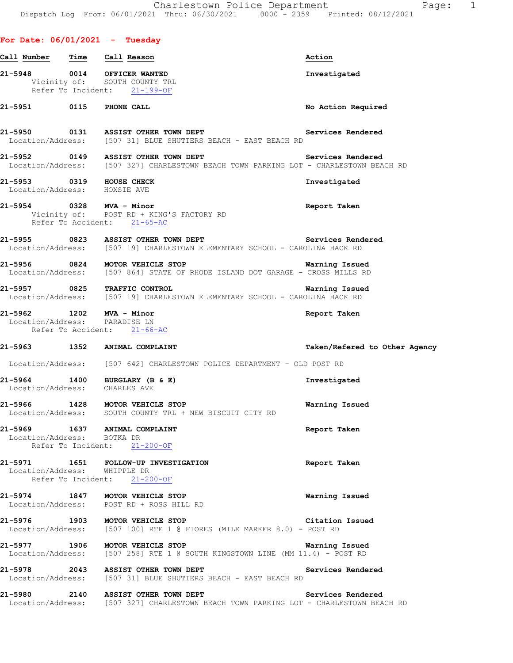|                                   |      |                                                                                               | Charlestown Police Department<br>Dispatch Log From: 06/01/2021 Thru: 06/30/2021 0000 - 2359 Printed: 08/12/2021 | 1<br>Page:         |
|-----------------------------------|------|-----------------------------------------------------------------------------------------------|-----------------------------------------------------------------------------------------------------------------|--------------------|
|                                   |      |                                                                                               |                                                                                                                 |                    |
|                                   |      | For Date: $06/01/2021$ - Tuesday                                                              |                                                                                                                 |                    |
| Call Number                       | Time | Call Reason                                                                                   | Action                                                                                                          |                    |
| 21-5948                           | 0014 | OFFICER WANTED<br>Vicinity of: SOUTH COUNTY TRL<br>Refer To Incident: 21-199-OF               | Investigated                                                                                                    |                    |
| 21-5951                           | 0115 | PHONE CALL                                                                                    |                                                                                                                 | No Action Required |
| 21-5950                           |      | 0131 ASSIST OTHER TOWN DEPT<br>Location/Address: [507 31] BLUE SHUTTERS BEACH - EAST BEACH RD |                                                                                                                 | Services Rendered  |
| 21-5952                           | 0149 | ASSIST OTHER TOWN DEPT                                                                        | Location/Address: [507 327] CHARLESTOWN BEACH TOWN PARKING LOT - CHARLESTOWN BEACH RD                           | Services Rendered  |
| 21-5953 0319<br>Location/Address: |      | HOUSE CHECK<br>HOXSIE AVE                                                                     | Investigated                                                                                                    |                    |
| 21-5954                           | 0328 | MVA - Minor<br>Vicinity of: POST RD + KING'S FACTORY RD                                       | Report Taken                                                                                                    |                    |

Refer To Accident: 21-65-AC

**21-5955 0823 ASSIST OTHER TOWN DEPT Services Rendered**  Location/Address: [507 19] CHARLESTOWN ELEMENTARY SCHOOL - CAROLINA BACK RD

**21-5956 0824 MOTOR VEHICLE STOP Warning Issued**  Location/Address: [507 864] STATE OF RHODE ISLAND DOT GARAGE - CROSS MILLS RD

**21-5957 0825 TRAFFIC CONTROL Warning Issued**  Location/Address: [507 19] CHARLESTOWN ELEMENTARY SCHOOL - CAROLINA BACK RD

#### **21-5962 1202 MVA - Minor Report Taken**  Location/Address: PARADISE LN

Refer To Accident: 21-66-AC

#### **21-5963 1352 ANIMAL COMPLAINT Taken/Refered to Other Agency**

Location/Address: [507 642] CHARLESTOWN POLICE DEPARTMENT - OLD POST RD

## **21-5964 1400 BURGLARY (B & E) Investigated**  Location/Address: CHARLES AVE

**21-5966 1428 MOTOR VEHICLE STOP Warning Issued**  Location/Address: SOUTH COUNTY TRL + NEW BISCUIT CITY RD

## **21-5969 1637 ANIMAL COMPLAINT Report Taken**  Location/Address: BOTKA DR Refer To Incident: 21-200-OF

#### **21-5971 1651 FOLLOW-UP INVESTIGATION Report Taken**  Location/Address: WHIPPLE DR Refer To Incident: 21-200-OF

## **21-5974 1847 MOTOR VEHICLE STOP Warning Issued**  Location/Address: POST RD + ROSS HILL RD

### **21-5976 1903 MOTOR VEHICLE STOP Citation Issued** Construction Construction Construction Address: [507 100] RTE 1 @ FIORES (MILE MARKER 8.0) - POST RD [507 100] RTE 1 @ FIORES (MILE MARKER 8.0) - POST RD

## **21-5977 1906 MOTOR VEHICLE STOP Warning Issued**  Location/Address: [507 258] RTE 1 @ SOUTH KINGSTOWN LINE (MM 11.4) - POST RD

**21-5978 2043 ASSIST OTHER TOWN DEPT Services Rendered**  Location/Address: [507 31] BLUE SHUTTERS BEACH - EAST BEACH RD

#### **21-5980 2140 ASSIST OTHER TOWN DEPT Services Rendered**  Location/Address: [507 327] CHARLESTOWN BEACH TOWN PARKING LOT - CHARLESTOWN BEACH RD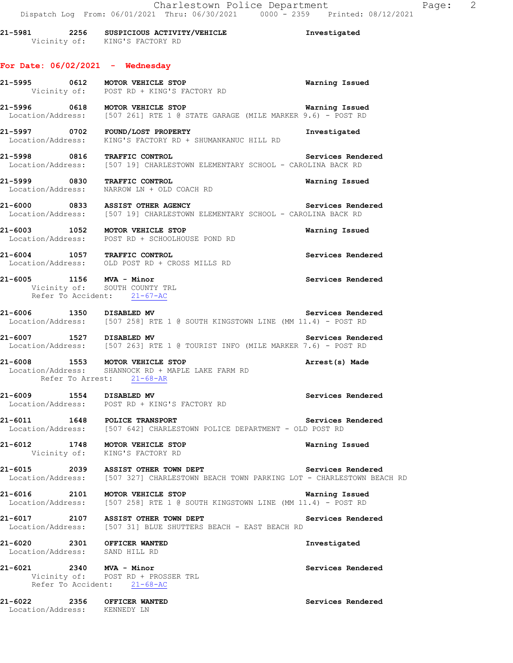|                                           | 21-5981 2256 SUSPICIOUS ACTIVITY/VEHICLE<br>Vicinity of: KING'S FACTORY RD                                                                   | Investigated      |
|-------------------------------------------|----------------------------------------------------------------------------------------------------------------------------------------------|-------------------|
|                                           | For Date: $06/02/2021$ - Wednesday                                                                                                           |                   |
|                                           | 21-5995 0612 MOTOR VEHICLE STOP<br>Vicinity of: POST RD + KING'S FACTORY RD                                                                  | Warning Issued    |
|                                           | 21-5996 0618 MOTOR VEHICLE STOP Warning Issued<br>Location/Address: [507 261] RTE 1 @ STATE GARAGE (MILE MARKER 9.6) - POST RD               | Warning Issued    |
|                                           | 21-5997 0702 FOUND/LOST PROPERTY<br>Location/Address: KING'S FACTORY RD + SHUMANKANUC HILL RD                                                | Investigated      |
|                                           | 21-5998 0816 TRAFFIC CONTROL<br>Location/Address: [507 19] CHARLESTOWN ELEMENTARY SCHOOL - CAROLINA BACK RD                                  | Services Rendered |
|                                           | 21-5999 0830 TRAFFIC CONTROL<br>Location/Address: NARROW LN + OLD COACH RD                                                                   | Warning Issued    |
|                                           | 21-6000 0833 ASSIST OTHER AGENCY<br>Location/Address: [507 19] CHARLESTOWN ELEMENTARY SCHOOL - CAROLINA BACK RD                              | Services Rendered |
|                                           | 21-6003 1052 MOTOR VEHICLE STOP<br>Location/Address: POST RD + SCHOOLHOUSE POND RD                                                           | Warning Issued    |
|                                           | 21-6004 1057 TRAFFIC CONTROL<br>Location/Address: OLD POST RD + CROSS MILLS RD                                                               | Services Rendered |
|                                           | 21-6005 1156 MVA - Minor<br>Vicinity of: SOUTH COUNTY TRL<br>Refer To Accident: 21-67-AC                                                     | Services Rendered |
| 21-6006 1350 DISABLED MV                  | Location/Address: [507 258] RTE 1 @ SOUTH KINGSTOWN LINE (MM 11.4) - POST RD                                                                 | Services Rendered |
|                                           | 21-6007 1527 DISABLED MV Services Rende<br>Location/Address: [507 263] RTE 1 @ TOURIST INFO (MILE MARKER 7.6) - POST RD<br>Services Rendered |                   |
|                                           | 21-6008 1553 MOTOR VEHICLE STOP<br>Location/Address: SHANNOCK RD + MAPLE LAKE FARM RD<br>Refer To Arrest: 21-68-AR                           | Arrest(s) Made    |
| 21-6009 1554 DISABLED MV                  | Location/Address: POST RD + KING'S FACTORY RD                                                                                                | Services Rendered |
|                                           | 21-6011 1648 POLICE TRANSPORT<br>Location/Address: [507 642] CHARLESTOWN POLICE DEPARTMENT - OLD POST RD                                     | Services Rendered |
|                                           | 21-6012 1748 MOTOR VEHICLE STOP<br>Vicinity of: KING'S FACTORY RD                                                                            | Warning Issued    |
|                                           | 21-6015 2039 ASSIST OTHER TOWN DEPT<br>Location/Address: [507 327] CHARLESTOWN BEACH TOWN PARKING LOT - CHARLESTOWN BEACH RD                 | Services Rendered |
| 21-6016                                   | 2101 MOTOR VEHICLE STOP<br>Location/Address: [507 258] RTE 1 @ SOUTH KINGSTOWN LINE (MM 11.4) - POST RD                                      | Warning Issued    |
|                                           | 21-6017 2107 ASSIST OTHER TOWN DEPT<br>Location/Address: [507 31] BLUE SHUTTERS BEACH - EAST BEACH RD                                        | Services Rendered |
| 21-6020<br>Location/Address: SAND HILL RD | 2301 OFFICER WANTED                                                                                                                          | Investigated      |
| 21-6021 2340 MVA - Minor                  | Vicinity of: POST RD + PROSSER TRL<br>Refer To Accident: 21-68-AC                                                                            | Services Rendered |

**21-6022 2356 OFFICER WANTED Services Rendered**  Location/Address: KENNEDY LN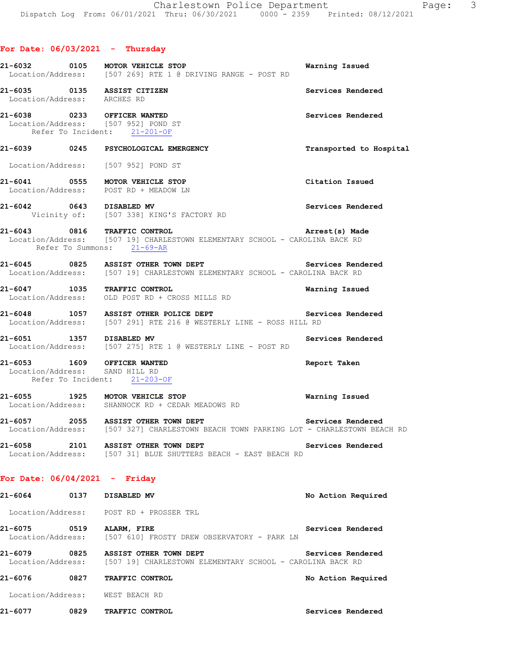## **For Date: 06/03/2021 - Thursday**

|                                                               | 21-6032 0105 MOTOR VEHICLE STOP<br>Location/Address: [507 269] RTE 1 @ DRIVING RANGE - POST RD                                            | Warning Issued          |
|---------------------------------------------------------------|-------------------------------------------------------------------------------------------------------------------------------------------|-------------------------|
| 21-6035 0135 ASSIST CITIZEN<br>Location/Address: ARCHES RD    |                                                                                                                                           | Services Rendered       |
| 21-6038 0233 OFFICER WANTED                                   | Location/Address: [507 952] POND ST<br>Refer To Incident: 21-201-OF                                                                       | Services Rendered       |
|                                                               | 21-6039 0245 PSYCHOLOGICAL EMERGENCY                                                                                                      | Transported to Hospital |
|                                                               | Location/Address: [507 952] POND ST                                                                                                       |                         |
|                                                               | 21-6041 0555 MOTOR VEHICLE STOP<br>Location/Address: POST RD + MEADOW LN                                                                  | Citation Issued         |
| 21-6042 0643 DISABLED MV                                      | Vicinity of: [507 338] KING'S FACTORY RD                                                                                                  | Services Rendered       |
|                                                               | 21-6043 0816 TRAFFIC CONTROL<br>Location/Address: [507 19] CHARLESTOWN ELEMENTARY SCHOOL - CAROLINA BACK RD<br>Refer To Summons: 21-69-AR | Arrest(s) Made          |
|                                                               | 21-6045 0825 ASSIST OTHER TOWN DEPT<br>Location/Address: [507 19] CHARLESTOWN ELEMENTARY SCHOOL - CAROLINA BACK RD                        | Services Rendered       |
|                                                               | 21-6047 1035 TRAFFIC CONTROL<br>Location/Address: OLD POST RD + CROSS MILLS RD                                                            | Warning Issued          |
|                                                               | 21-6048 1057 ASSIST OTHER POLICE DEPT<br>Location/Address: [507 291] RTE 216 @ WESTERLY LINE - ROSS HILL RD                               | Services Rendered       |
|                                                               | 21-6051 1357 DISABLED MV<br>Location/Address: [507 275] RTE 1 @ WESTERLY LINE - POST RD                                                   | Services Rendered       |
| 21-6053 1609 OFFICER WANTED<br>Location/Address: SAND HILL RD | Refer To Incident: 21-203-OF                                                                                                              | Report Taken            |
|                                                               | 21-6055 1925 MOTOR VEHICLE STOP<br>Location/Address: SHANNOCK RD + CEDAR MEADOWS RD                                                       | Warning Issued          |
|                                                               | 21-6057 2055 ASSIST OTHER TOWN DEPT<br>Location/Address: [507 327] CHARLESTOWN BEACH TOWN PARKING LOT - CHARLESTOWN BEACH RD              | Services Rendered       |
|                                                               | 21-6058 2101 ASSIST OTHER TOWN DEPT<br>Location/Address: [507 31] BLUE SHUTTERS BEACH - EAST BEACH RD                                     | Services Rendered       |
| For Date: $06/04/2021 -$ Friday                               |                                                                                                                                           |                         |
| 21-6064 0137 DISABLED MV                                      |                                                                                                                                           | No Action Required      |
|                                                               | Location/Address: POST RD + PROSSER TRL                                                                                                   |                         |
|                                                               | 21-6075 0519 ALARM, FIRE<br>Location/Address: [507 610] FROSTY DREW OBSERVATORY - PARK LN                                                 | Services Rendered       |
|                                                               | 21-6079 0825 ASSIST OTHER TOWN DEPT<br>Location/Address: [507 19] CHARLESTOWN ELEMENTARY SCHOOL - CAROLINA BACK RD                        | Services Rendered       |
|                                                               | 21-6076 0827 TRAFFIC CONTROL                                                                                                              | No Action Required      |
| Location/Address: WEST BEACH RD                               |                                                                                                                                           |                         |

**21-6077 0829 TRAFFIC CONTROL Services Rendered**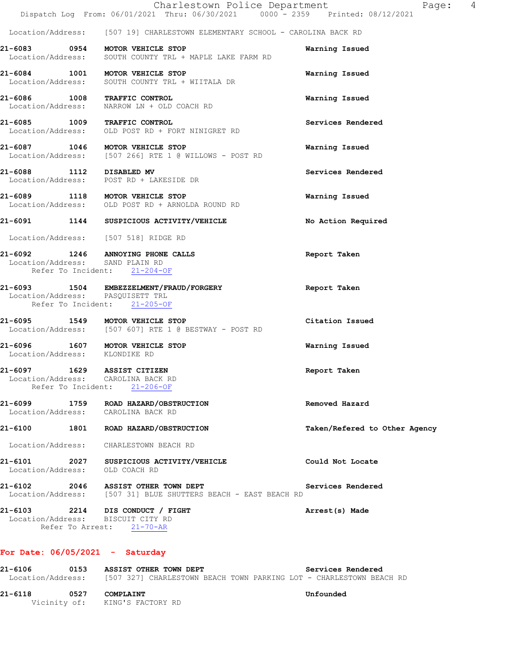|                                                                                         | Charlestown Police Department<br>Dispatch Log From: 06/01/2021 Thru: 06/30/2021 0000 - 2359 Printed: 08/12/2021 | Page: 4                       |  |
|-----------------------------------------------------------------------------------------|-----------------------------------------------------------------------------------------------------------------|-------------------------------|--|
|                                                                                         | Location/Address: [507 19] CHARLESTOWN ELEMENTARY SCHOOL - CAROLINA BACK RD                                     |                               |  |
|                                                                                         | 21-6083 0954 MOTOR VEHICLE STOP<br>Location/Address: SOUTH COUNTY TRL + MAPLE LAKE FARM RD                      | Warning Issued                |  |
| 21-6084 1001 MOTOR VEHICLE STOP                                                         | Location/Address: SOUTH COUNTY TRL + WIITALA DR                                                                 | Warning Issued                |  |
|                                                                                         | 21-6086 1008 TRAFFIC CONTROL<br>Location/Address: NARROW LN + OLD COACH RD                                      | Warning Issued                |  |
| 21-6085 1009 TRAFFIC CONTROL                                                            | Location/Address: OLD POST RD + FORT NINIGRET RD                                                                | Services Rendered             |  |
|                                                                                         | 21-6087 1046 MOTOR VEHICLE STOP<br>Location/Address: [507 266] RTE 1 @ WILLOWS - POST RD                        | Warning Issued                |  |
|                                                                                         | 21-6088 1112 DISABLED MV<br>Location/Address: POST RD + LAKESIDE DR                                             | Services Rendered             |  |
| 21-6089 1118 MOTOR VEHICLE STOP                                                         | Location/Address: OLD POST RD + ARNOLDA ROUND RD                                                                | Warning Issued                |  |
|                                                                                         | 21-6091 1144 SUSPICIOUS ACTIVITY/VEHICLE                                                                        | No Action Required            |  |
| Location/Address: [507 518] RIDGE RD                                                    |                                                                                                                 |                               |  |
| Location/Address: SAND PLAIN RD<br>Refer To Incident: 21-204-OF                         | 21-6092 1246 ANNOYING PHONE CALLS                                                                               | Report Taken                  |  |
| Location/Address: PASQUISETT TRL<br>Refer To Incident: 21-205-OF                        | 21-6093 1504 EMBEZZELMENT/FRAUD/FORGERY                                                                         | Report Taken                  |  |
| 21-6095 1549 MOTOR VEHICLE STOP                                                         | Location/Address: [507 607] RTE 1 @ BESTWAY - POST RD                                                           | Citation Issued               |  |
| 21-6096<br>1607<br>Location/Address:                                                    | MOTOR VEHICLE STOP<br>KLONDIKE RD                                                                               | Warning Issued                |  |
| 21-6097 1629 ASSIST CITIZEN<br>Location/Address: CAROLINA BACK RD<br>Refer To Incident: | $21 - 206 - OF$                                                                                                 | Report Taken                  |  |
| 21-6099<br>1759<br>Location/Address:                                                    | ROAD HAZARD/OBSTRUCTION<br>CAROLINA BACK RD                                                                     | Removed Hazard                |  |
| 21-6100<br>1801                                                                         | ROAD HAZARD/OBSTRUCTION                                                                                         | Taken/Refered to Other Agency |  |

Location/Address: CHARLESTOWN BEACH RD

**21-6101 2027 SUSPICIOUS ACTIVITY/VEHICLE Could Not Locate**  Location/Address: OLD COACH RD

**21-6102 2046 ASSIST OTHER TOWN DEPT Services Rendered**  Location/Address: [507 31] BLUE SHUTTERS BEACH - EAST BEACH RD

**21-6103 2214 DIS CONDUCT / FIGHT Arrest(s) Made**  Location/Address: BISCUIT CITY RD Refer To Arrest: 21-70-AR

## **For Date: 06/05/2021 - Saturday**

| 21-6106 | 0153 | ASSIST OTHER TOWN DEPT                                                                |  |  | Services Rendered |  |
|---------|------|---------------------------------------------------------------------------------------|--|--|-------------------|--|
|         |      | Location/Address: [507 327] CHARLESTOWN BEACH TOWN PARKING LOT - CHARLESTOWN BEACH RD |  |  |                   |  |
| 21-6118 | 0527 | <b>COMPLAINT</b>                                                                      |  |  | Unfounded         |  |
|         |      | Vicinity of: KING'S FACTORY RD                                                        |  |  |                   |  |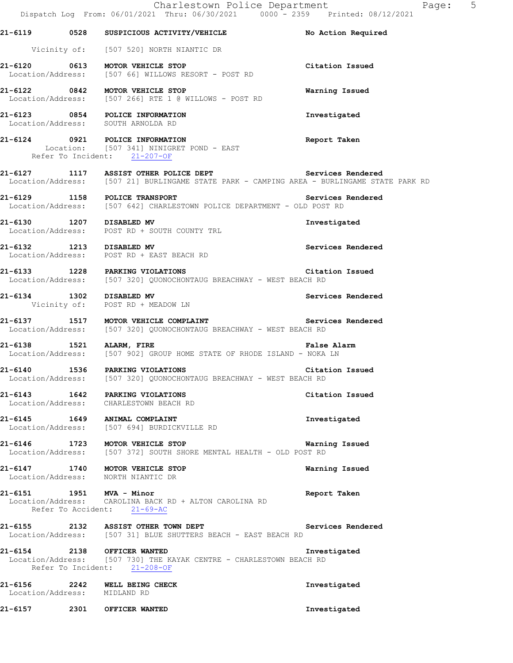|                          | Charlestown Police Department<br>Dispatch Log From: 06/01/2021 Thru: 06/30/2021 0000 - 2359 Printed: 08/12/2021                               | Pa                 |
|--------------------------|-----------------------------------------------------------------------------------------------------------------------------------------------|--------------------|
|                          | 21-6119 0528 SUSPICIOUS ACTIVITY/VEHICLE No Action Required                                                                                   |                    |
|                          | Vicinity of: [507 520] NORTH NIANTIC DR                                                                                                       |                    |
|                          | 21-6120 0613 MOTOR VEHICLE STOP<br>Location/Address: [507 66] WILLOWS RESORT - POST RD                                                        | Citation Issued    |
|                          | 21-6122 0842 MOTOR VEHICLE STOP<br>Location/Address: [507 266] RTE 1 @ WILLOWS - POST RD                                                      | Warning Issued     |
|                          | 21-6123 0854 POLICE INFORMATION<br>Location/Address: SOUTH ARNOLDA RD                                                                         | Investigated       |
|                          | 21-6124 0921 POLICE INFORMATION<br>Location: [507 341] NINIGRET POND - EAST<br>Refer To Incident: 21-207-OF                                   | Report Taken       |
|                          | 1117 ASSIST OTHER POLICE DEPT Services Rendered<br>Location/Address: [507 21] BURLINGAME STATE PARK - CAMPING AREA - BURLINGAME STATE PARK RD |                    |
|                          | 21-6129 1158 POLICE TRANSPORT Services Rendered Location/Address: [507 642] CHARLESTOWN POLICE DEPARTMENT - OLD POST RD                       |                    |
|                          | 21-6130 1207 DISABLED MV<br>Location/Address: POST RD + SOUTH COUNTY TRL                                                                      | Investigated       |
|                          | 21-6132 1213 DISABLED MV<br>Location/Address: POST RD + EAST BEACH RD                                                                         | Services Rendered  |
|                          | 21-6133 1228 PARKING VIOLATIONS<br>Location/Address: [507 320] QUONOCHONTAUG BREACHWAY - WEST BEACH RD                                        | Citation Issued    |
|                          | 21-6134 1302 DISABLED MV<br>Vicinity of: POST RD + MEADOW LN                                                                                  | Services Rendered  |
|                          | 21-6137 1517 MOTOR VEHICLE COMPLAINT Services Rendered<br>Location/Address: [507 320] QUONOCHONTAUG BREACHWAY - WEST BEACH RD                 |                    |
| 21-6138 1521 ALARM, FIRE | Location/Address: [507 902] GROUP HOME STATE OF RHODE ISLAND - NOKA LN                                                                        | <b>False Alarm</b> |
| $21 - 6140$              | 1536 PARKING VIOLATIONS<br>Location/Address: [507 320] QUONOCHONTAUG BREACHWAY - WEST BEACH RD                                                | Citation Issued    |
|                          | 21-6143 1642 PARKING VIOLATIONS<br>Location/Address: CHARLESTOWN BEACH RD                                                                     | Citation Issued    |
|                          | 21-6145 1649 ANIMAL COMPLAINT<br>Location/Address: [507 694] BURDICKVILLE RD                                                                  | Investigated       |
|                          | 21-6146 1723 MOTOR VEHICLE STOP WATNI LOCATION/Address: [507 372] SOUTH SHORE MENTAL HEALTH - OLD POST RD                                     | Warning Issued     |
|                          | 21-6147 1740 MOTOR VEHICLE STOP<br>Location/Address: NORTH NIANTIC DR                                                                         | Warning Issued     |
|                          | 21-6151 1951 MVA - Minor<br>Location/Address: CAROLINA BACK RD + ALTON CAROLINA RD<br>Refer To Accident: 21-69-AC                             | Report Taken       |
|                          | 21-6155 2132 ASSIST OTHER TOWN DEPT<br>Location/Address: [507 31] BLUE SHUTTERS BEACH - EAST BEACH RD                                         | Services Rendered  |
|                          | 21-6154 2138 OFFICER WANTED<br>Location/Address: [507 730] THE KAYAK CENTRE - CHARLESTOWN BEACH RD<br>Refer To Incident: 21-208-OF            | Investigated       |
|                          | 21-6156 2242 WELL BEING CHECK<br>Location/Address: MIDLAND RD                                                                                 | Investigated       |
|                          | 21-6157 2301 OFFICER WANTED                                                                                                                   | Investigated       |

age: 5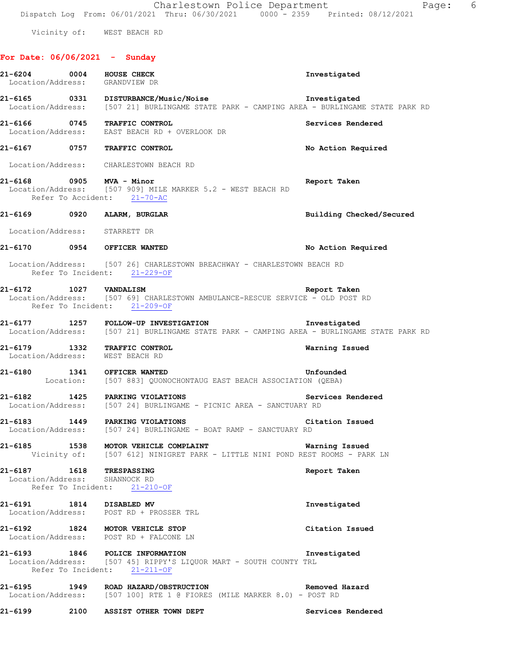Vicinity of: WEST BEACH RD

## **For Date: 06/06/2021 - Sunday**

|         | 21-6204 0004 HOUSE CHECK<br>Location/Address: GRANDVIEW DR                                                                                                  | Investigated             |
|---------|-------------------------------------------------------------------------------------------------------------------------------------------------------------|--------------------------|
|         | 21-6165 0331 DISTURBANCE/Music/Noise Investigated<br>Location/Address: [507 21] BURLINGAME STATE PARK - CAMPING AREA - BURLINGAME STATE PARK RD             |                          |
|         | 21-6166 0745 TRAFFIC CONTROL<br>Location/Address: EAST BEACH RD + OVERLOOK DR                                                                               | Services Rendered        |
|         | 21-6167 0757 TRAFFIC CONTROL                                                                                                                                | No Action Required       |
|         | Location/Address: CHARLESTOWN BEACH RD                                                                                                                      |                          |
|         | 21-6168 0905 MVA - Minor<br>Location/Address: [507 909] MILE MARKER 5.2 - WEST BEACH RD<br>Refer To Accident: 21-70-AC                                      | Report Taken             |
|         | 21-6169 0920 ALARM, BURGLAR                                                                                                                                 | Building Checked/Secured |
|         | Location/Address: STARRETT DR                                                                                                                               |                          |
|         | 21-6170 0954 OFFICER WANTED                                                                                                                                 | No Action Required       |
|         | Location/Address: [507 26] CHARLESTOWN BREACHWAY - CHARLESTOWN BEACH RD<br>Refer To Incident: 21-229-OF                                                     |                          |
|         | 1027   VANDALISM   Exercise   Report Taken   Exercise   IO27   VANDALISM   Exercise   SERVICE   - OLD POST RD<br>Refer To Incident: 21-209-OF               |                          |
|         | Location/Address: [507 21] BURLINGAME STATE PARK - CAMPING AREA - BURLINGAME STATE PARK RD                                                                  |                          |
|         | 21-6179 1332 TRAFFIC CONTROL<br>Location/Address: WEST BEACH RD                                                                                             | Warning Issued           |
|         | 21-6180 1341 OFFICER WANTED<br>Location: [507 883] QUONOCHONTAUG EAST BEACH ASSOCIATION (QEBA)                                                              | Unfounded                |
|         | 21-6182 1425 PARKING VIOLATIONS<br>Location/Address: [507 24] BURLINGAME - PICNIC AREA - SANCTUARY RD                                                       | Services Rendered        |
|         | <b>Citation Issued</b><br>21-6183 1449 PARKING VIOLATIONS<br>Location/Address: [507 24] BURLINGAME - BOAT RAMP - SANCTUARY RD                               |                          |
| 21-6185 | 1538 MOTOR VEHICLE COMPLAINT <b>Example 19 Service State</b> Warning Issued<br>Vicinity of: [507 612] NINIGRET PARK - LITTLE NINI POND REST ROOMS - PARK LN |                          |
|         | 21-6187 1618 TRESPASSING<br>Location/Address: SHANNOCK RD<br>Refer To Incident: 21-210-OF                                                                   | Report Taken             |
|         | 21-6191 1814 DISABLED MV<br>Location/Address: POST RD + PROSSER TRL                                                                                         | Investigated             |
|         | 21-6192 1824 MOTOR VEHICLE STOP<br>Location/Address: POST RD + FALCONE LN                                                                                   | Citation Issued          |
|         | 21-6193 1846 POLICE INFORMATION<br>Location/Address: [507 45] RIPPY'S LIQUOR MART - SOUTH COUNTY TRL<br>Refer To Incident: 21-211-OF                        | Investigated             |
|         | 21-6195 1949 ROAD HAZARD/OBSTRUCTION<br>Location/Address: [507 100] RTE 1 @ FIORES (MILE MARKER 8.0) - POST RD                                              | Removed Hazard           |
|         | 21-6199 2100 ASSIST OTHER TOWN DEPT                                                                                                                         | Services Rendered        |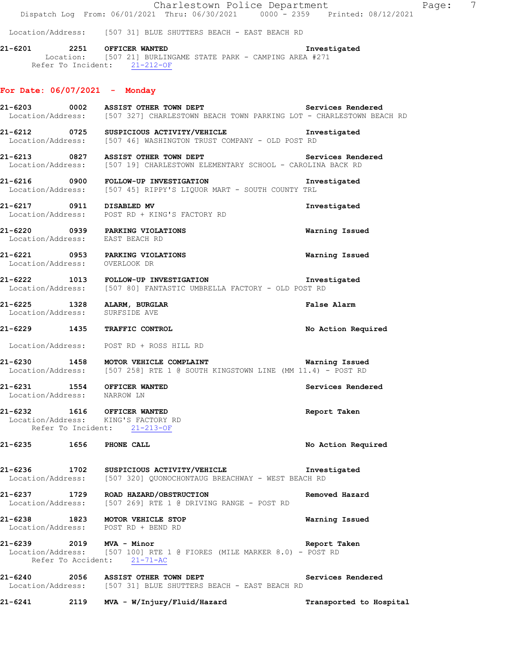Charlestown Police Department Page: 7 Dispatch Log From: 06/01/2021 Thru: 06/30/2021 0000 - 2359 Printed: 08/12/2021

Location/Address: [507 31] BLUE SHUTTERS BEACH - EAST BEACH RD

**21-6201 2251 OFFICER WANTED Investigated**  Location: [507 21] BURLINGAME STATE PARK - CAMPING AREA #271 Refer To Incident: 21-212-OF

#### **For Date: 06/07/2021 - Monday**

21-6203 **0002** ASSIST OTHER TOWN DEPT **Services Rendered**  Location/Address: [507 327] CHARLESTOWN BEACH TOWN PARKING LOT - CHARLESTOWN BEACH RD **21-6212 0725 SUSPICIOUS ACTIVITY/VEHICLE Investigated**  Location/Address: [507 46] WASHINGTON TRUST COMPANY - OLD POST RD **21-6213 0827 ASSIST OTHER TOWN DEPT Services Rendered**  Location/Address: [507 19] CHARLESTOWN ELEMENTARY SCHOOL - CAROLINA BACK RD **21-6216 0900 FOLLOW-UP INVESTIGATION Investigated**  Location/Address: [507 45] RIPPY'S LIQUOR MART - SOUTH COUNTY TRL **21-6217 0911 DISABLED MV Investigated**  Location/Address: POST RD + KING'S FACTORY RD **21-6220 0939 PARKING VIOLATIONS Warning Issued**  Location/Address: EAST BEACH RD **21-6221 0953 PARKING VIOLATIONS Warning Issued**  Location/Address: OVERLOOK DR **21-6222 1013 FOLLOW-UP INVESTIGATION Investigated**  Location/Address: [507 80] FANTASTIC UMBRELLA FACTORY - OLD POST RD **21-6225 1328 ALARM, BURGLAR False Alarm**  Location/Address: SURFSIDE AVE **21-6229 1435 TRAFFIC CONTROL No Action Required**  Location/Address: POST RD + ROSS HILL RD **21-6230 1458 MOTOR VEHICLE COMPLAINT Warning Issued**<br>Location/Address: [507 258] RTE 1 @ SOUTH KINGSTOWN LINE (MM 11.4) - POST RD [507 258] RTE 1 @ SOUTH KINGSTOWN LINE (MM 11.4) - POST RD **21-6231 1554 OFFICER WANTED Services Rendered**  Location/Address: NARROW LN **21-6232 1616 OFFICER WANTED Report Taken**  Location/Address: KING'S FACTORY RD Refer To Incident: 21-213-OF **21-6235 1656 PHONE CALL No Action Required 21-6236 1702 SUSPICIOUS ACTIVITY/VEHICLE Investigated**  Location/Address: [507 320] QUONOCHONTAUG BREACHWAY - WEST BEACH RD **21-6237 1729 ROAD HAZARD/OBSTRUCTION Removed Hazard**  Location/Address: [507 269] RTE 1 @ DRIVING RANGE - POST RD **21-6238 1823 MOTOR VEHICLE STOP Warning Issued**  Location/Address: POST RD + BEND RD **21-6239 2019 MVA - Minor Report Taken**  Location/Address: [507 100] RTE 1 @ FIORES (MILE MARKER 8.0) - POST RD Refer To Accident: 21-71-AC 21-6240 2056 ASSIST OTHER TOWN DEPT **Services Rendered Services Rendered Intervally 2056** 207 31] BLUE SHUTTERS BEACH - EAST BEACH RD [507 31] BLUE SHUTTERS BEACH - EAST BEACH RD

**21-6241 2119 MVA - W/Injury/Fluid/Hazard Transported to Hospital**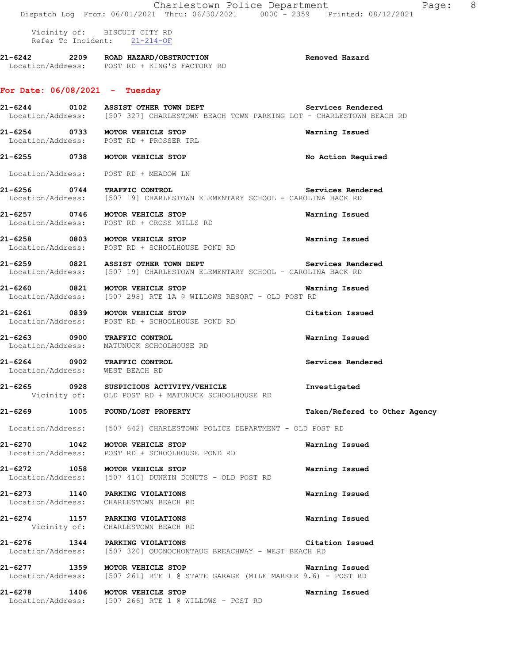Charlestown Police Department Page: 8 Dispatch Log From: 06/01/2021 Thru: 06/30/2021 0000 - 2359 Printed: 08/12/2021 Vicinity of: BISCUIT CITY RD Refer To Incident: 21-214-OF **21-6242 2209 ROAD HAZARD/OBSTRUCTION Removed Hazard**  Location/Address: POST RD + KING'S FACTORY RD **For Date: 06/08/2021 - Tuesday** 21-6244 0102 ASSIST OTHER TOWN DEPT Services Rendered Location/Address: [507 327] CHARLESTOWN BEACH TOWN PARKING LOT - CHARLESTOWN BEACH RD **21-6254 0733 MOTOR VEHICLE STOP Warning Issued** Location/Address: POST RD + PROSSER TRL POST RD + PROSSER TRL **21-6255 0738 MOTOR VEHICLE STOP No Action Required**  Location/Address: POST RD + MEADOW LN **21-6256 0744 TRAFFIC CONTROL Services Rendered**  Location/Address: [507 19] CHARLESTOWN ELEMENTARY SCHOOL - CAROLINA BACK RD **21-6257 0746 MOTOR VEHICLE STOP Warning Issued**  Location/Address: POST RD + CROSS MILLS RD **21-6258 0803 MOTOR VEHICLE STOP Warning Issued**  POST RD + SCHOOLHOUSE POND RD **21-6259 0821 ASSIST OTHER TOWN DEPT Services Rendered**  Location/Address: [507 19] CHARLESTOWN ELEMENTARY SCHOOL - CAROLINA BACK RD **21-6260 0821 MOTOR VEHICLE STOP Warning Issued**  Location/Address: [507 298] RTE 1A @ WILLOWS RESORT - OLD POST RD **21-6261 0839 MOTOR VEHICLE STOP Citation Issued**  Location/Address: POST RD + SCHOOLHOUSE POND RD **21-6263 0900 TRAFFIC CONTROL Warning Issued**  Location/Address: MATUNUCK SCHOOLHOUSE RD **21-6264 0902 TRAFFIC CONTROL Services Rendered**  Location/Address: WEST BEACH RD **21-6265 0928 SUSPICIOUS ACTIVITY/VEHICLE Investigated**  Vicinity of: OLD POST RD + MATUNUCK SCHOOLHOUSE RD **21-6269 1005 FOUND/LOST PROPERTY Taken/Refered to Other Agency** Location/Address: [507 642] CHARLESTOWN POLICE DEPARTMENT - OLD POST RD **21-6270 1042 MOTOR VEHICLE STOP Warning Issued**  Location/Address: POST RD + SCHOOLHOUSE POND RD **21-6272 1058 MOTOR VEHICLE STOP WAREN WAREN WERE ISSUED WARE WARE ISSUED WARE ISSUED WARE ISSUED WARE ISSUED** [507 410] DUNKIN DONUTS - OLD POST RD **21-6273 1140 PARKING VIOLATIONS Warning Issued**  Location/Address: CHARLESTOWN BEACH RD **21-6274 1157 PARKING VIOLATIONS Warning Issued**  Vicinity of: CHARLESTOWN BEACH RD **21-6276 1344 PARKING VIOLATIONS Citation Issued**  Location/Address: [507 320] QUONOCHONTAUG BREACHWAY - WEST BEACH RD **21-6277 1359 MOTOR VEHICLE STOP Warning Issued**  Location/Address: [507 261] RTE 1 @ STATE GARAGE (MILE MARKER 9.6) - POST RD **21-6278 1406 MOTOR VEHICLE STOP Warning Issued**  Location/Address: [507 266] RTE 1 @ WILLOWS - POST RD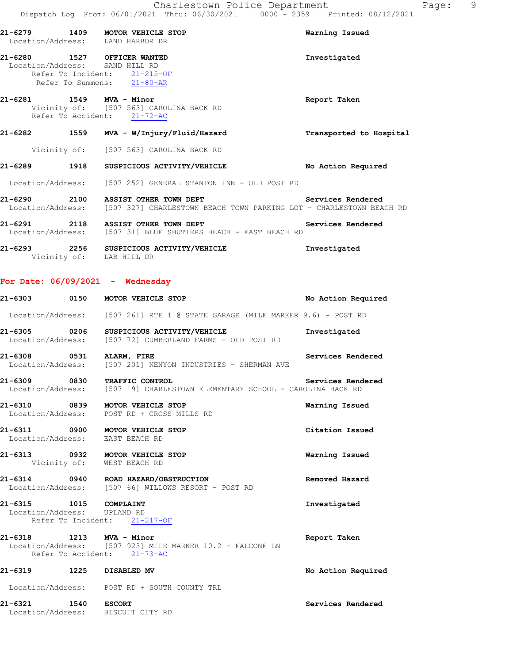|         |      | 21-6279 1409 MOTOR VEHICLE STOP<br>Location/Address: LAND HARBOR DR                                                          | Warning Issued          |
|---------|------|------------------------------------------------------------------------------------------------------------------------------|-------------------------|
|         |      | 21-6280 1527 OFFICER WANTED<br>Location/Address: SAND HILL RD<br>Refer To Incident: 21-215-OF<br>Refer To Summons: 21-80-AR  | Investigated            |
|         |      | 21-6281 1549 MVA - Minor<br>Vicinity of: [507 563] CAROLINA BACK RD<br>Refer To Accident: 21-72-AC                           | Report Taken            |
|         |      | 21-6282 1559 MVA - W/Injury/Fluid/Hazard                                                                                     | Transported to Hospital |
|         |      | Vicinity of: [507 563] CAROLINA BACK RD                                                                                      |                         |
|         |      | 21-6289 1918 SUSPICIOUS ACTIVITY/VEHICLE                                                                                     | No Action Required      |
|         |      | Location/Address: [507 252] GENERAL STANTON INN - OLD POST RD                                                                |                         |
|         |      | 21-6290 2100 ASSIST OTHER TOWN DEPT<br>Location/Address: [507 327] CHARLESTOWN BEACH TOWN PARKING LOT - CHARLESTOWN BEACH RD | Services Rendered       |
|         |      | 21-6291 2118 ASSIST OTHER TOWN DEPT<br>Location/Address: [507 31] BLUE SHUTTERS BEACH - EAST BEACH RD                        | Services Rendered       |
| 21-6293 | 2256 | SUSPICIOUS ACTIVITY/VEHICLE                                                                                                  | Investigated            |

Vicinity of: LAB HILL DR

## **For Date: 06/09/2021 - Wednesday**

|                                                       | 21-6303 0150 MOTOR VEHICLE STOP                                                                             | No Action Required |
|-------------------------------------------------------|-------------------------------------------------------------------------------------------------------------|--------------------|
|                                                       | Location/Address: [507 261] RTE 1 @ STATE GARAGE (MILE MARKER 9.6) - POST RD                                |                    |
|                                                       | 21-6305 0206 SUSPICIOUS ACTIVITY/VEHICLE<br>Location/Address: [507 72] CUMBERLAND FARMS - OLD POST RD       | Investigated       |
| 21-6308 0531 ALARM, FIRE                              | Location/Address: [507 201] KENYON INDUSTRIES - SHERMAN AVE                                                 | Services Rendered  |
|                                                       | 21-6309 0830 TRAFFIC CONTROL<br>Location/Address: [507 19] CHARLESTOWN ELEMENTARY SCHOOL - CAROLINA BACK RD | Services Rendered  |
|                                                       | 21-6310 0839 MOTOR VEHICLE STOP<br>Location/Address: POST RD + CROSS MILLS RD                               | Warning Issued     |
|                                                       | 21-6311 0900 MOTOR VEHICLE STOP<br>Location/Address: EAST BEACH RD                                          | Citation Issued    |
|                                                       | 21-6313 0932 MOTOR VEHICLE STOP<br>Vicinity of: WEST BEACH RD                                               | Warning Issued     |
|                                                       | 21-6314 0940 ROAD HAZARD/OBSTRUCTION<br>Location/Address: [507 66] WILLOWS RESORT - POST RD                 | Removed Hazard     |
| 21-6315 1015 COMPLAINT<br>Location/Address: UPLAND RD | Refer To Incident: 21-217-OF                                                                                | Investigated       |
| 21-6318 1213 MVA - Minor                              | Location/Address: [507 923] MILE MARKER 10.2 - FALCONE LN<br>Refer To Accident: 21-73-AC                    | Report Taken       |
| 21-6319 1225 DISABLED MV                              |                                                                                                             | No Action Required |
|                                                       | Location/Address: POST RD + SOUTH COUNTY TRL                                                                |                    |
|                                                       | 21-6321 1540 ESCORT<br>Location/Address: BISCUIT CITY RD                                                    | Services Rendered  |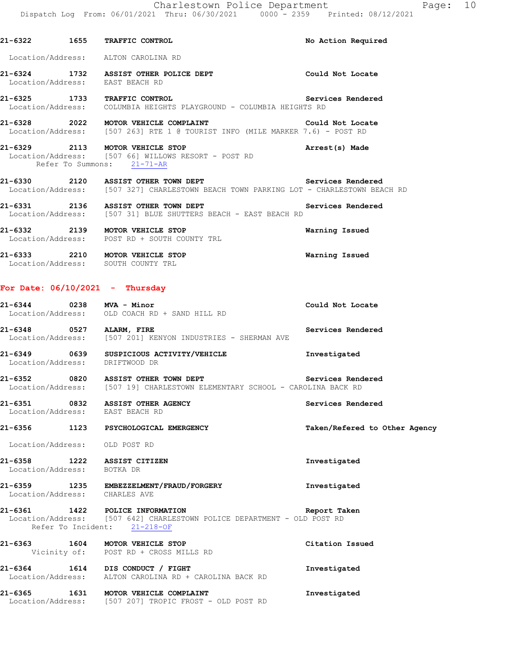**21-6322 1655 TRAFFIC CONTROL No Action Required** 

| Location/Address: ALTON CAROLINA RD                       |                                                                                                                                                  |                               |
|-----------------------------------------------------------|--------------------------------------------------------------------------------------------------------------------------------------------------|-------------------------------|
| Location/Address: EAST BEACH RD                           | 21-6324 1732 ASSIST OTHER POLICE DEPT Could Not Locate                                                                                           |                               |
| 21-6325 1733 TRAFFIC CONTROL                              | Location/Address: COLUMBIA HEIGHTS PLAYGROUND - COLUMBIA HEIGHTS RD                                                                              | Services Rendered             |
|                                                           | 21-6328 2022 MOTOR VEHICLE COMPLAINT THE SOLUGN Could Not Locate<br>Location/Address: [507 263] RTE 1 @ TOURIST INFO (MILE MARKER 7.6) - POST RD |                               |
| Refer To Summons: 21-71-AR                                | 21-6329 2113 MOTOR VEHICLE STOP 2001 21-6329 Arrest(s) Made<br>Location/Address: [507 66] WILLOWS RESORT - POST RD                               |                               |
|                                                           | 21-6330 2120 ASSIST OTHER TOWN DEPT Services Rendered<br>Location/Address: [507 327] CHARLESTOWN BEACH TOWN PARKING LOT - CHARLESTOWN BEACH RD   |                               |
|                                                           | 21-6331 2136 ASSIST OTHER TOWN DEPT Services Rendered Location/Address: [507 31] BLUE SHUTTERS BEACH - EAST BEACH RD                             |                               |
|                                                           | 21-6332 2139 MOTOR VEHICLE STOP<br>Location/Address: POST RD + SOUTH COUNTY TRL                                                                  | Warning Issued                |
|                                                           | 21-6333 2210 MOTOR VEHICLE STOP<br>Location/Address: SOUTH COUNTY TRL                                                                            | Warning Issued                |
| For Date: $06/10/2021$ - Thursday                         |                                                                                                                                                  |                               |
| 21-6344 0238 MVA - Minor                                  | Location/Address: OLD COACH RD + SAND HILL RD                                                                                                    | Could Not Locate              |
| 21-6348 0527 ALARM, FIRE                                  | Location/Address: [507 201] KENYON INDUSTRIES - SHERMAN AVE                                                                                      | Services Rendered             |
| Location/Address: DRIFTWOOD DR                            | 21-6349 0639 SUSPICIOUS ACTIVITY/VEHICLE                                                                                                         | Investigated                  |
|                                                           | 21-6352 0820 ASSIST OTHER TOWN DEPT Services Rendered<br>Location/Address: [507 19] CHARLESTOWN ELEMENTARY SCHOOL - CAROLINA BACK RD             |                               |
| Location/Address: EAST BEACH RD                           | 21-6351 0832 ASSIST OTHER AGENCY                                                                                                                 | Services Rendered             |
|                                                           | 21-6356 1123 PSYCHOLOGICAL EMERGENCY                                                                                                             | Taken/Refered to Other Agency |
| Location/Address: OLD POST RD                             |                                                                                                                                                  | Investigated                  |
| 21-6358 1222 ASSIST CITIZEN<br>Location/Address: BOTKA DR |                                                                                                                                                  |                               |
| Location/Address: CHARLES AVE                             | 21-6359 1235 EMBEZZELMENT/FRAUD/FORGERY                                                                                                          | Investigated                  |
|                                                           | 21-6361 1422 POLICE INFORMATION<br>Location/Address: [507 642] CHARLESTOWN POLICE DEPARTMENT - OLD POST RD<br>Refer To Incident: 21-218-OF       | Report Taken                  |
|                                                           | 21-6363 1604 MOTOR VEHICLE STOP<br>Vicinity of: POST RD + CROSS MILLS RD                                                                         | Citation Issued               |
| 21-6364 1614 DIS CONDUCT / FIGHT                          | Location/Address: ALTON CAROLINA RD + CAROLINA BACK RD                                                                                           | Investigated                  |
|                                                           | 21-6365 1631 MOTOR VEHICLE COMPLAINT<br>Location/Address: [507 207] TROPIC FROST - OLD POST RD                                                   | Investigated                  |
|                                                           |                                                                                                                                                  |                               |
|                                                           |                                                                                                                                                  |                               |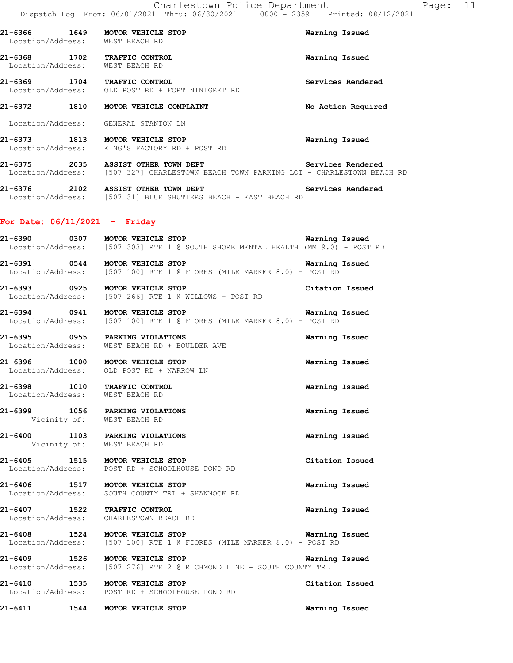| 21-6368                              | 1702 | <b>TRAFFIC CONTROL</b>              | Warning Issued |
|--------------------------------------|------|-------------------------------------|----------------|
| 21-6366<br>1649<br>Location/Address: |      | MOTOR VEHICLE STOP<br>WEST BEACH RD | Warning Issued |

**21-6369 1704 TRAFFIC CONTROL Services Rendered**  Location/Address: OLD POST RD + FORT NINIGRET RD

# **21-6372 1810 MOTOR VEHICLE COMPLAINT No Action Required**  Location/Address: GENERAL STANTON LN

**21-6373 1813 MOTOR VEHICLE STOP Warning Issued**  Location/Address: KING'S FACTORY RD + POST RD

21-6375 2035 ASSIST OTHER TOWN DEPT **12000** Services Rendered Location/Address: [507 327] CHARLESTOWN BEACH TOWN PARKING LOT - CHARLESTOWN BEACH RD

**21-6376 2102 ASSIST OTHER TOWN DEPT Services Rendered**  Location/Address: [507 31] BLUE SHUTTERS BEACH - EAST BEACH RD

#### **For Date: 06/11/2021 - Friday**

Location/Address: WEST BEACH RD

| 21-6390<br>0307 | Warning Issued<br>MOTOR VEHICLE STOP<br>Location/Address: [507 303] RTE 1 @ SOUTH SHORE MENTAL HEALTH (MM 9.0) - POST RD |
|-----------------|--------------------------------------------------------------------------------------------------------------------------|
| 21-6391<br>0544 | Warning Issued<br>MOTOR VEHICLE STOP<br>Location/Address: [507 100] RTE 1 @ FIORES (MILE MARKER 8.0) - POST RD           |
| 21-6393<br>0925 | Citation Issued<br>MOTOR VEHICLE STOP<br>Location/Address: [507 266] RTE 1 @ WILLOWS - POST RD                           |
| 21-6394<br>0941 | Warning Issued<br>MOTOR VEHICLE STOP<br>Location/Address: [507 100] RTE 1 @ FIORES (MILE MARKER 8.0) - POST RD           |
| 0955<br>21-6395 | Warning Issued<br>PARKING VIOLATIONS<br>Location/Address: WEST BEACH RD + BOULDER AVE                                    |

**21-6396 1000 MOTOR VEHICLE STOP WARENT Warning Issued** Location/Address: OLD POST RD + NARROW LN OLD POST RD + NARROW LN

**21-6398 1010 TRAFFIC CONTROL Warning Issued**  Location/Address: WEST BEACH RD

**21-6399 1056 PARKING VIOLATIONS Warning Issued**  Vicinity of: WEST BEACH RD

**21-6400 1103 PARKING VIOLATIONS Warning Issued**  Vicinity of: WEST BEACH RD

**21-6405 1515 MOTOR VEHICLE STOP Citation Issued Constant Issued Constant Issued Constant Issued** POST RD + SCHOOLHOUSE POND RD

**21-6406 1517 MOTOR VEHICLE STOP Warning Issued**  Location/Address: SOUTH COUNTY TRL + SHANNOCK RD

**21-6407 1522 TRAFFIC CONTROL Warning Issued**  Location/Address: CHARLESTOWN BEACH RD

**21-6408 1524 MOTOR VEHICLE STOP Warning Issued**  Location/Address: [507 100] RTE 1 @ FIORES (MILE MARKER 8.0) - POST RD

**21-6409 1526 MOTOR VEHICLE STOP Warning Issued**  Location/Address: [507 276] RTE 2 @ RICHMOND LINE - SOUTH COUNTY TRL

**21-6410 1535 MOTOR VEHICLE STOP Citation Issued**  Location/Address: POST RD + SCHOOLHOUSE POND RD

**21-6411 1544 MOTOR VEHICLE STOP Warning Issued**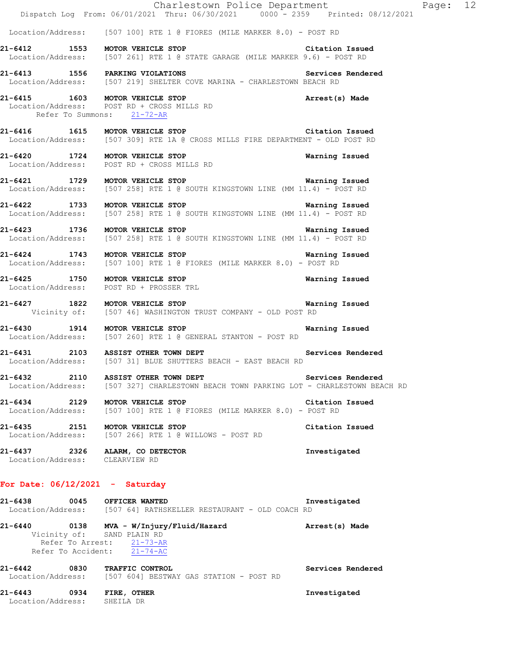|                                                                        | Charlestown Police Department<br>Dispatch Log From: 06/01/2021 Thru: 06/30/2021 0000 - 2359 Printed: 08/12/2021                                                                                   | Page: 12          |
|------------------------------------------------------------------------|---------------------------------------------------------------------------------------------------------------------------------------------------------------------------------------------------|-------------------|
|                                                                        | Location/Address: [507 100] RTE 1 @ FIORES (MILE MARKER 8.0) - POST RD                                                                                                                            |                   |
|                                                                        | 21-6412 1553 MOTOR VEHICLE STOP<br>Location/Address: [507 261] RTE 1 @ STATE GARAGE (MILE MARKER 9.6) - POST RD                                                                                   | Citation Issued   |
|                                                                        | 21-6413 1556 PARKING VIOLATIONS<br>Location/Address: [507 219] SHELTER COVE MARINA - CHARLESTOWN BEACH RD                                                                                         | Services Rendered |
| Refer To Summons: 21-72-AR                                             | 21-6415 1603 MOTOR VEHICLE STOP<br>Location/Address: POST RD + CROSS MILLS RD<br>Refer To Summana: 01.56.5 MILLS RD                                                                               | Arrest(s) Made    |
|                                                                        | 21-6416 1615 MOTOR VEHICLE STOP Citation Issued<br>Location/Address: [507 309] RTE 1A @ CROSS MILLS FIRE DEPARTMENT - OLD POST RD                                                                 |                   |
|                                                                        | 21-6420 1724 MOTOR VEHICLE STOP<br>Location/Address: POST RD + CROSS MILLS RD                                                                                                                     | Warning Issued    |
|                                                                        | 21-6421 1729 MOTOR VEHICLE STOP NOTOR VEHICLE STOP<br>Location/Address: [507 258] RTE 1 @ SOUTH KINGSTOWN LINE (MM 11.4) - POST RD                                                                |                   |
|                                                                        | 21-6422 1733 MOTOR VEHICLE STOP<br>Location/Address: [507 258] RTE 1 @ SOUTH KINGSTOWN LINE (MM 11.4) - POST RD                                                                                   | Warning Issued    |
|                                                                        | 21-6423 1736 MOTOR VEHICLE STOP 1991 1991 Marning Issued<br>Location/Address: [507 258] RTE 1 @ SOUTH KINGSTOWN LINE (MM 11.4) - POST RD                                                          |                   |
|                                                                        | 21-6424 1743 MOTOR VEHICLE STOP <b>120 SEARCH 18 SEARCH 18 SEARCH 18 SEARCH 18 SEARCH 18 SEARCH 18 SEARCH 18 SEARCH</b><br>Location/Address: [507 100] RTE 1 @ FIORES (MILE MARKER 8.0) - POST RD |                   |
|                                                                        | 21-6425 1750 MOTOR VEHICLE STOP<br>Location/Address: POST RD + PROSSER TRL                                                                                                                        | Warning Issued    |
|                                                                        | 21-6427 1822 MOTOR VEHICLE STOP <b>120 CONTENTS 1886</b> Narning Issued<br>Vicinity of: [507 46] WASHINGTON TRUST COMPANY - OLD POST RD                                                           |                   |
| 21-6430 1914 MOTOR VEHICLE STOP                                        | Location/Address: [507 260] RTE 1 @ GENERAL STANTON - POST RD                                                                                                                                     | Warning Issued    |
|                                                                        | 21-6431 2103 ASSIST OTHER TOWN DEPT Services Rendered<br>Location/Address: [507 31] BLUE SHUTTERS BEACH - EAST BEACH RD                                                                           |                   |
|                                                                        | 21-6432 2110 ASSIST OTHER TOWN DEPT 21-6432 Services Rendered<br>Location/Address: [507 327] CHARLESTOWN BEACH TOWN PARKING LOT - CHARLESTOWN BEACH RD                                            |                   |
| 21-6434 2129 MOTOR VEHICLE STOP                                        | Location/Address: [507 100] RTE 1 @ FIORES (MILE MARKER 8.0) - POST RD                                                                                                                            | Citation Issued   |
| 21-6435 2151 MOTOR VEHICLE STOP                                        | Location/Address: [507 266] RTE 1 @ WILLOWS - POST RD                                                                                                                                             | Citation Issued   |
| 21-6437 2326 ALARM, CO DETECTOR<br>Location/Address: CLEARVIEW RD      |                                                                                                                                                                                                   | Investigated      |
| For Date: $06/12/2021$ - Saturday                                      |                                                                                                                                                                                                   |                   |
| 21-6438 0045 OFFICER WANTED                                            | Location/Address: [507 64] RATHSKELLER RESTAURANT - OLD COACH RD                                                                                                                                  | Investigated      |
| Vicinity of: SAND PLAIN RD<br>Refer To Accident: $\overline{21-74-AC}$ | Refer To Arrest: 21-73-AR                                                                                                                                                                         | Arrest(s) Made    |
| 21-6442 0830 TRAFFIC CONTROL                                           | Location/Address: [507 604] BESTWAY GAS STATION - POST RD                                                                                                                                         | Services Rendered |
| 21-6443 0934 FIRE, OTHER<br>Location/Address: SHEILA DR                |                                                                                                                                                                                                   | Investigated      |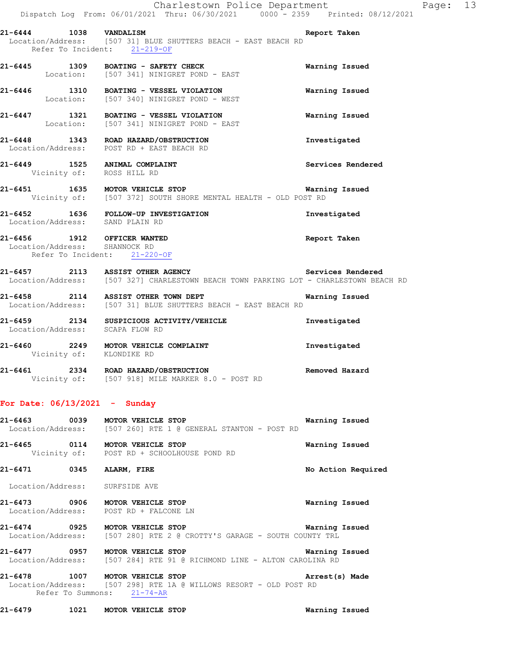|                                                                                              | - 1<br>Dispatch Log From: 06/01/2021 Thru: 06/30/2021 0000 - 2359 Printed: 08/12/2021                                     |                       |
|----------------------------------------------------------------------------------------------|---------------------------------------------------------------------------------------------------------------------------|-----------------------|
| 21-6444 1038 VANDALISM<br>Refer To Incident: 21-219-OF                                       | Location/Address: [507 31] BLUE SHUTTERS BEACH - EAST BEACH RD                                                            | Report Taken          |
|                                                                                              | 21-6445 1309 BOATING - SAFETY CHECK<br>Location: [507 341] NINIGRET POND - EAST                                           | Warning Issued        |
|                                                                                              | 21-6446 1310 BOATING - VESSEL VIOLATION<br>Location: [507 340] NINIGRET POND - WEST                                       | Warning Issued        |
|                                                                                              | 21-6447 1321 BOATING - VESSEL VIOLATION<br>Location: [507 341] NINIGRET POND - EAST                                       | Warning Issued        |
|                                                                                              | 21-6448 1343 ROAD HAZARD/OBSTRUCTION<br>Location/Address: POST RD + EAST BEACH RD                                         | Investigated          |
| 21-6449 1525 ANIMAL COMPLAINT<br>Vicinity of: ROSS HILL RD                                   |                                                                                                                           | Services Rendered     |
|                                                                                              | 21-6451 1635 MOTOR VEHICLE STOP<br>Vicinity of: [507 372] SOUTH SHORE MENTAL HEALTH - OLD POST RD                         | <b>Warning Issued</b> |
|                                                                                              | 21-6452 1636 FOLLOW-UP INVESTIGATION<br>Location/Address: SAND PLAIN RD                                                   | Investigated          |
| 21-6456 1912 OFFICER WANTED<br>Location/Address: SHANNOCK RD<br>Refer To Incident: 21-220-OF |                                                                                                                           | Report Taken          |
|                                                                                              | 21-6457 2113 ASSIST OTHER AGENCY<br>Location/Address: [507 327] CHARLESTOWN BEACH TOWN PARKING LOT - CHARLESTOWN BEACH RD | Services Rendered     |
|                                                                                              | 21-6458 2114 ASSIST OTHER TOWN DEPT<br>Location/Address: [507 31] BLUE SHUTTERS BEACH - EAST BEACH RD                     | Warning Issued        |
|                                                                                              | 21-6459 2134 SUSPICIOUS ACTIVITY/VEHICLE<br>Location/Address: SCAPA FLOW RD                                               | Investigated          |
|                                                                                              | 21-6460 2249 MOTOR VEHICLE COMPLAINT<br>Vicinity of: KLONDIKE RD                                                          | Investigated          |

**21-6461 2334 ROAD HAZARD/OBSTRUCTION Removed Hazard**  Vicinity of: [507 918] MILE MARKER 8.0 - POST RD

#### **For Date: 06/13/2021 - Sunday**

| 21-6463           | 0039 | MOTOR VEHICLE STOP |  |  |                                             |  | Warning Issued |  |
|-------------------|------|--------------------|--|--|---------------------------------------------|--|----------------|--|
| Location/Address: |      |                    |  |  | [507 260] RTE 1 @ GENERAL STANTON - POST RD |  |                |  |

**21-6465 0114 MOTOR VEHICLE STOP Warning Issued**  Vicinity of: POST RD + SCHOOLHOUSE POND RD

**21-6471 0345 ALARM, FIRE No Action Required** 

Location/Address: SURFSIDE AVE

**21-6473 0906 MOTOR VEHICLE STOP Warning Issued**  Location/Address: POST RD + FALCONE LN

**21-6474 0925 MOTOR VEHICLE STOP Warning Issued**  Location/Address: [507 280] RTE 2 @ CROTTY'S GARAGE - SOUTH COUNTY TRL

**21-6477 0957 MOTOR VEHICLE STOP Warning Issued**  Location/Address: [507 284] RTE 91 @ RICHMOND LINE - ALTON CAROLINA RD

**21-6478 1007 MOTOR VEHICLE STOP Arrest(s) Made**  Location/Address: [507 298] RTE 1A @ WILLOWS RESORT - OLD POST RD Refer To Summons: 21-74-AR

**21-6479 1021 MOTOR VEHICLE STOP Warning Issued**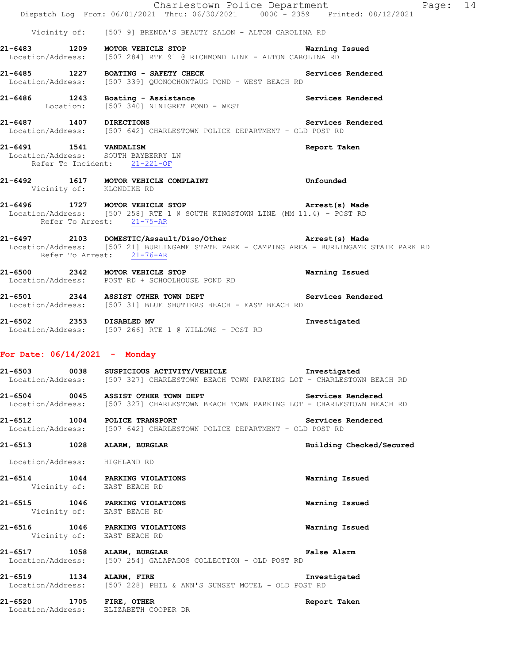|                        | Dispatch Log From: 06/01/2021 Thru: 06/30/2021 0000 - 2359 Printed: 08/12/2021                                                                                                                            | Charlestown Police Department Page: 14 |  |
|------------------------|-----------------------------------------------------------------------------------------------------------------------------------------------------------------------------------------------------------|----------------------------------------|--|
|                        | Vicinity of: [507 9] BRENDA'S BEAUTY SALON - ALTON CAROLINA RD                                                                                                                                            |                                        |  |
|                        | 21-6483 1209 MOTOR VEHICLE STOP<br>Location/Address: [507 284] RTE 91 @ RICHMOND LINE - ALTON CAROLINA RD                                                                                                 | <b>Warning Issued</b>                  |  |
|                        | 21-6485 1227 BOATING - SAFETY CHECK Services Rendered<br>Location/Address: [507 339] QUONOCHONTAUG POND - WEST BEACH RD                                                                                   |                                        |  |
|                        | 21-6486 1243 Boating - Assistance<br>Location: [507 340] NINIGRET POND - WEST                                                                                                                             | Services Rendered                      |  |
|                        | 21-6487 1407 DIRECTIONS<br>Location/Address: [507 642] CHARLESTOWN POLICE DEPARTMENT - OLD POST RD                                                                                                        | Services Rendered                      |  |
| 21-6491 1541 VANDALISM | Location/Address: SOUTH BAYBERRY LN<br>Refer To Incident: 21-221-OF                                                                                                                                       | Report Taken                           |  |
|                        | 21-6492 1617 MOTOR VEHICLE COMPLAINT<br>Vicinity of: KLONDIKE RD                                                                                                                                          | Unfounded                              |  |
|                        | 21-6496 1727 MOTOR VEHICLE STOP<br>Location/Address: [507 258] RTE 1 @ SOUTH KINGSTOWN LINE (MM 11.4) - POST RD<br>Refer To Arrest: 21-75-AR                                                              | Arrest(s) Made                         |  |
|                        | 21-6497 2103 DOMESTIC/Assault/Diso/Other <b>https://watchmanagers.com/2010</b><br>Location/Address: [507 21] BURLINGAME STATE PARK - CAMPING AREA - BURLINGAME STATE PARK RD<br>Refer To Arrest: 21-76-AR |                                        |  |
|                        | 21-6500 2342 MOTOR VEHICLE STOP<br>Location/Address: POST RD + SCHOOLHOUSE POND RD                                                                                                                        | Warning Issued                         |  |
|                        | 21-6501 2344 ASSIST OTHER TOWN DEPT<br>Location/Address: [507 31] BLUE SHUTTERS BEACH - EAST BEACH RD                                                                                                     | Services Rendered                      |  |
|                        | 21-6502 2353 DISABLED MV<br>Location/Address: [507 266] RTE 1 @ WILLOWS - POST RD                                                                                                                         | Investigated                           |  |
|                        | For Date: $06/14/2021$ - Monday                                                                                                                                                                           |                                        |  |
|                        | 21-6503 0038 SUSPICIOUS ACTIVITY/VEHICLE<br>Location/Address: [507 327] CHARLESTOWN BEACH TOWN PARKING LOT - CHARLESTOWN BEACH RD                                                                         | Investigated                           |  |
|                        | 21-6504 0045 ASSIST OTHER TOWN DEPT<br>Location/Address: [507 327] CHARLESTOWN BEACH TOWN PARKING LOT - CHARLESTOWN BEACH RD                                                                              | Services Rendered                      |  |
|                        | 21-6512 1004 POLICE TRANSPORT<br>Location/Address: [507 642] CHARLESTOWN POLICE DEPARTMENT - OLD POST RD                                                                                                  | Services Rendered                      |  |
|                        | 21-6513 1028 ALARM, BURGLAR                                                                                                                                                                               | Building Checked/Secured               |  |
|                        | Location/Address: HIGHLAND RD                                                                                                                                                                             |                                        |  |
|                        | 21-6514 1044 PARKING VIOLATIONS<br>Vicinity of: EAST BEACH RD                                                                                                                                             | Warning Issued                         |  |
|                        | 21-6515 1046 PARKING VIOLATIONS<br>Vicinity of: EAST BEACH RD                                                                                                                                             | Warning Issued                         |  |
|                        | 21-6516 1046 PARKING VIOLATIONS<br>Vicinity of: EAST BEACH RD                                                                                                                                             | Warning Issued                         |  |
|                        | 21-6517 1058 ALARM, BURGLAR<br>Location/Address: [507 254] GALAPAGOS COLLECTION - OLD POST RD                                                                                                             | False Alarm                            |  |
|                        | 21-6519 1134 ALARM, FIRE<br>Location/Address: [507 228] PHIL & ANN'S SUNSET MOTEL - OLD POST RD                                                                                                           | Investigated                           |  |
|                        | 21-6520 1705 FIRE, OTHER<br>Location/Address: ELIZABETH COOPER DR                                                                                                                                         | Report Taken                           |  |
|                        |                                                                                                                                                                                                           |                                        |  |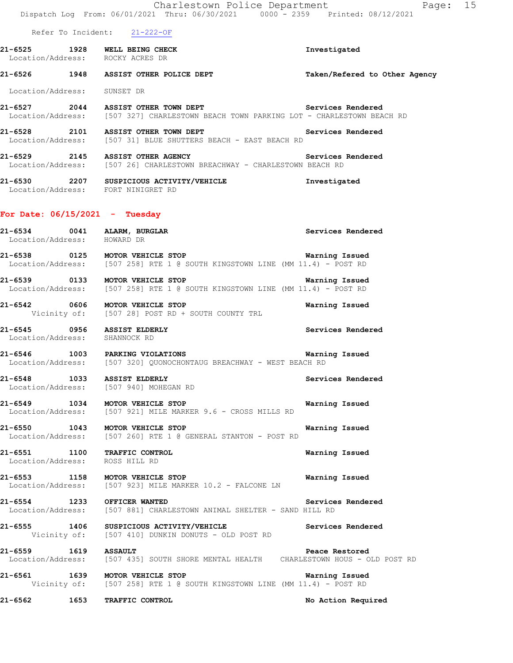Charlestown Police Department Fage: 15 Dispatch Log From: 06/01/2021 Thru: 06/30/2021 0000 - 2359 Printed: 08/12/2021 Refer To Incident: 21-222-OF **21-6525 1928 WELL BEING CHECK Investigated**  Location/Address: ROCKY ACRES DR **21-6526 1948 ASSIST OTHER POLICE DEPT Taken/Refered to Other Agency** Location/Address: SUNSET DR 21-6527 2044 ASSIST OTHER TOWN DEPT Services Rendered Location/Address: [507 327] CHARLESTOWN BEACH TOWN PARKING LOT - CHARLESTOWN BEACH RD **21-6528 2101 ASSIST OTHER TOWN DEPT Services Rendered**  Location/Address: [507 31] BLUE SHUTTERS BEACH - EAST BEACH RD **21-6529 2145 ASSIST OTHER AGENCY Services Rendered**  Location/Address: [507 26] CHARLESTOWN BREACHWAY - CHARLESTOWN BEACH RD **21-6530 2207 SUSPICIOUS ACTIVITY/VEHICLE Investigated**  Location/Address: FORT NINIGRET RD **For Date: 06/15/2021 - Tuesday 21-6534 0041 ALARM, BURGLAR Services Rendered**  Location/Address: HOWARD DR **21-6538 0125 MOTOR VEHICLE STOP Warning Issued**  Location/Address: [507 258] RTE 1 @ SOUTH KINGSTOWN LINE (MM 11.4) - POST RD **21-6539 0133 MOTOR VEHICLE STOP Warning Issued**  Location/Address: [507 258] RTE 1 @ SOUTH KINGSTOWN LINE (MM 11.4) - POST RD **21-6542 0606 MOTOR VEHICLE STOP Warning Issued**  Vicinity of: [507 28] POST RD + SOUTH COUNTY TRL **21-6545 0956 ASSIST ELDERLY Services Rendered**  Location/Address: SHANNOCK RD **21-6546 1003 PARKING VIOLATIONS Warning Issued**  Location/Address: [507 320] QUONOCHONTAUG BREACHWAY - WEST BEACH RD **21-6548 1033 ASSIST ELDERLY Services Rendered**  Location/Address: [507 940] MOHEGAN RD **21-6549 1034 MOTOR VEHICLE STOP Warning Issued**  Location/Address: [507 921] MILE MARKER 9.6 - CROSS MILLS RD **21-6550 1043 MOTOR VEHICLE STOP Warning Issued**  Location/Address: [507 260] RTE 1 @ GENERAL STANTON - POST RD **21-6551 1100 TRAFFIC CONTROL Warning Issued**  Location/Address: ROSS HILL RD **21-6553 1158 MOTOR VEHICLE STOP Warning Issued**  Location/Address: [507 923] MILE MARKER 10.2 - FALCONE LN **21-6554 1233 OFFICER WANTED Services Rendered**  Location/Address: [507 881] CHARLESTOWN ANIMAL SHELTER - SAND HILL RD **21-6555 1406 SUSPICIOUS ACTIVITY/VEHICLE Services Rendered**  Vicinity of: [507 410] DUNKIN DONUTS - OLD POST RD **21-6559 1619 ASSAULT Peace Restored**  Location/Address: [507 435] SOUTH SHORE MENTAL HEALTH CHARLESTOWN HOUS - OLD POST RD **21-6561 1639 MOTOR VEHICLE STOP WARNING WARNING ISSUED**<br>Vicinity of: [507 258] RTE 1 @ SOUTH KINGSTOWN LINE (MM 11.4) - POST RD [507 258] RTE 1 @ SOUTH KINGSTOWN LINE (MM 11.4) - POST RD **21-6562 1653 TRAFFIC CONTROL No Action Required**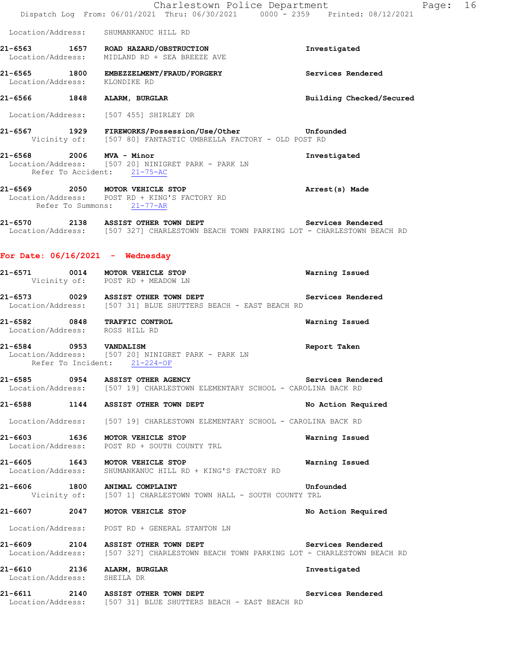|                                                            | Charlestown Police Department<br>Dispatch Log From: 06/01/2021 Thru: 06/30/2021 0000 - 2359 Printed: 08/12/2021                                |                          | Page: 16 |  |
|------------------------------------------------------------|------------------------------------------------------------------------------------------------------------------------------------------------|--------------------------|----------|--|
|                                                            | Location/Address: SHUMANKANUC HILL RD                                                                                                          |                          |          |  |
|                                                            | 21-6563 1657 ROAD HAZARD/OBSTRUCTION<br>Location/Address: MIDLAND RD + SEA BREEZE AVE                                                          | Investigated             |          |  |
| Location/Address: KLONDIKE RD                              | 21-6565 1800 EMBEZZELMENT/FRAUD/FORGERY                                                                                                        | Services Rendered        |          |  |
|                                                            | 21-6566 1848 ALARM, BURGLAR                                                                                                                    | Building Checked/Secured |          |  |
|                                                            | Location/Address: [507 455] SHIRLEY DR                                                                                                         |                          |          |  |
|                                                            | 21-6567 1929 FIREWORKS/Possession/Use/Other 5567 Unfounded<br>Vicinity of: [507 80] FANTASTIC UMBRELLA FACTORY - OLD POST RD                   |                          |          |  |
| 21-6568 2006 MVA - Minor                                   | Location/Address: [507 20] NINIGRET PARK - PARK LN<br>Refer To Accident: 21-75-AC                                                              | Investigated             |          |  |
|                                                            | 21-6569 2050 MOTOR VEHICLE STOP<br>Location/Address: POST RD + KING'S FACTORY RD<br>Refer To Summons: 21-77-AR                                 | Arrest(s) Made           |          |  |
|                                                            | 21-6570 2138 ASSIST OTHER TOWN DEPT Services Rendered<br>Location/Address: [507 327] CHARLESTOWN BEACH TOWN PARKING LOT - CHARLESTOWN BEACH RD |                          |          |  |
| For Date: $06/16/2021$ - Wednesday                         |                                                                                                                                                |                          |          |  |
|                                                            | 21-6571 0014 MOTOR VEHICLE STOP<br>Vicinity of: POST RD + MEADOW LN                                                                            | Warning Issued           |          |  |
|                                                            | 21-6573 0029 ASSIST OTHER TOWN DEPT<br>Location/Address: [507 31] BLUE SHUTTERS BEACH - EAST BEACH RD                                          | Services Rendered        |          |  |
| Location/Address: ROSS HILL RD                             | 21-6582 0848 TRAFFIC CONTROL                                                                                                                   | Warning Issued           |          |  |
| 21-6584 0953 VANDALISM                                     | Location/Address: [507 20] NINIGRET PARK - PARK LN<br>Refer To Incident: 21-224-OF                                                             | Report Taken             |          |  |
|                                                            | 21-6585 0954 ASSIST OTHER AGENCY<br>Location/Address: [507 19] CHARLESTOWN ELEMENTARY SCHOOL - CAROLINA BACK RD                                | Services Rendered        |          |  |
|                                                            | 21-6588 1144 ASSIST OTHER TOWN DEPT                                                                                                            | No Action Required       |          |  |
|                                                            | Location/Address: [507 19] CHARLESTOWN ELEMENTARY SCHOOL - CAROLINA BACK RD                                                                    |                          |          |  |
|                                                            | 21-6603 1636 MOTOR VEHICLE STOP<br>Location/Address: POST RD + SOUTH COUNTY TRL                                                                | Warning Issued           |          |  |
|                                                            | 21-6605 1643 MOTOR VEHICLE STOP<br>Location/Address: SHUMANKANUC HILL RD + KING'S FACTORY RD                                                   | Warning Issued           |          |  |
|                                                            | 21-6606 1800 ANIMAL COMPLAINT<br>Vicinity of: [507 1] CHARLESTOWN TOWN HALL - SOUTH COUNTY TRL                                                 | Unfounded                |          |  |
|                                                            | 21-6607 2047 MOTOR VEHICLE STOP                                                                                                                | No Action Required       |          |  |
|                                                            | Location/Address: POST RD + GENERAL STANTON LN                                                                                                 |                          |          |  |
|                                                            | 21-6609 2104 ASSIST OTHER TOWN DEPT Services Rendered<br>Location/Address: [507 327] CHARLESTOWN BEACH TOWN PARKING LOT - CHARLESTOWN BEACH RD |                          |          |  |
| 21-6610 2136 ALARM, BURGLAR<br>Location/Address: SHEILA DR |                                                                                                                                                | Investigated             |          |  |
|                                                            | 21-6611 2140 ASSIST OTHER TOWN DEPT<br>Location/Address: [507 31] BLUE SHUTTERS BEACH - EAST BEACH RD                                          | Services Rendered        |          |  |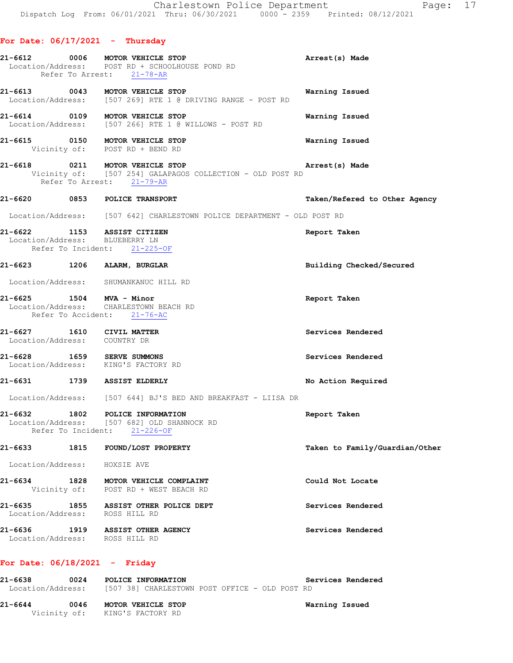|             | For Date: 06/17/2021 | - Thursday          |  |
|-------------|----------------------|---------------------|--|
| $21 - 6612$ | nnna                 | MOTOR UFFITCIF STOP |  |

|                              | 21-6612 0006 MOTOR VEHICLE STOP<br>Location/Address: POST RD + SCHOOLHOUSE POND RD<br>Refer To Arrest: 21-78-AR           | Arrest(s) Made                 |
|------------------------------|---------------------------------------------------------------------------------------------------------------------------|--------------------------------|
|                              | 21-6613 0043 MOTOR VEHICLE STOP<br>Location/Address: [507 269] RTE 1 @ DRIVING RANGE - POST RD                            | Warning Issued                 |
|                              | 21-6614 0109 MOTOR VEHICLE STOP<br>Location/Address: [507 266] RTE 1 @ WILLOWS - POST RD                                  | Warning Issued                 |
|                              | 21-6615 0150 MOTOR VEHICLE STOP<br>Vicinity of: POST RD + BEND RD                                                         | Warning Issued                 |
|                              | 21-6618 0211 MOTOR VEHICLE STOP<br>Vicinity of: [507 254] GALAPAGOS COLLECTION - OLD POST RD<br>Refer To Arrest: 21-79-AR | Arrest(s) Made                 |
|                              | 21-6620 0853 POLICE TRANSPORT                                                                                             | Taken/Refered to Other Agency  |
|                              | Location/Address: [507 642] CHARLESTOWN POLICE DEPARTMENT - OLD POST RD                                                   |                                |
|                              | 21-6622 1153 ASSIST CITIZEN<br>Location/Address: BLUEBERRY LN<br>Refer To Incident: 21-225-OF                             | Report Taken                   |
|                              | 21-6623 1206 ALARM, BURGLAR                                                                                               | Building Checked/Secured       |
|                              | Location/Address: SHUMANKANUC HILL RD                                                                                     |                                |
|                              | 21-6625 1504 MVA - Minor<br>Location/Address: CHARLESTOWN BEACH RD<br>Refer To Accident: 21-76-AC                         | Report Taken                   |
|                              | 21-6627 1610 CIVIL MATTER<br>Location/Address: COUNTRY DR                                                                 | Services Rendered              |
|                              | 21-6628 1659 SERVE SUMMONS<br>Location/Address: KING'S FACTORY RD                                                         | Services Rendered              |
|                              | 21-6631 1739 ASSIST ELDERLY                                                                                               | No Action Required             |
|                              | Location/Address: [507 644] BJ'S BED AND BREAKFAST - LIISA DR                                                             |                                |
|                              | 21-6632 1802 POLICE INFORMATION<br>Location/Address: [507 682] OLD SHANNOCK RD<br>Refer To Incident: 21-226-OF            | Report Taken                   |
|                              | 21-6633 1815 FOUND/LOST PROPERTY                                                                                          | Taken to Family/Guardian/Other |
| Location/Address: HOXSIE AVE |                                                                                                                           |                                |
|                              |                                                                                                                           |                                |

**21-6634 1828 MOTOR VEHICLE COMPLAINT Could Not Locate**  Vicinity of: POST RD + WEST BEACH RD

**21-6635 1855 ASSIST OTHER POLICE DEPT Services Rendered**  Location/Address: ROSS HILL RD **21-6636 1919 ASSIST OTHER AGENCY Services Rendered** 

Location/Address: ROSS HILL RD

## **For Date: 06/18/2021 - Friday**

| 21-6638<br>Location/Address: | 0024 | POLICE INFORMATION                                   | [507 38] CHARLESTOWN POST OFFICE - OLD POST RD | Services Rendered |
|------------------------------|------|------------------------------------------------------|------------------------------------------------|-------------------|
| 21-6644                      | 0046 | MOTOR VEHICLE STOP<br>Vicinity of: KING'S FACTORY RD |                                                | Warning Issued    |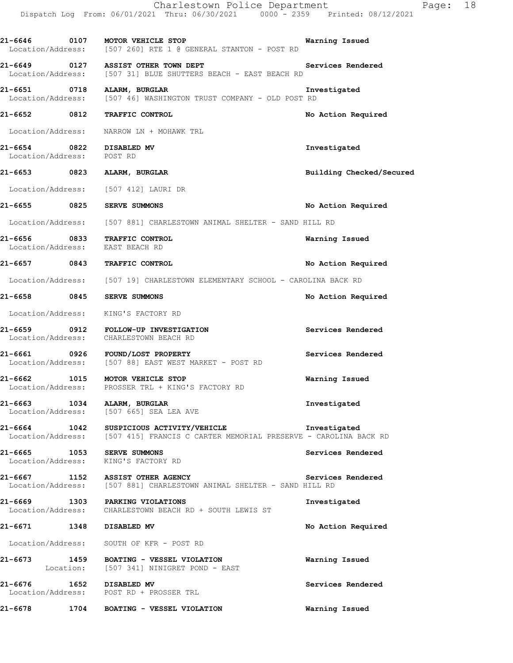|                                                       | Charlestown Police Department<br>Dispatch Log From: 06/01/2021 Thru: 06/30/2021 0000 <sup>-</sup> 2359 Printed: 08/12/2021                 | 18<br>Page:              |
|-------------------------------------------------------|--------------------------------------------------------------------------------------------------------------------------------------------|--------------------------|
|                                                       | 21-6646 0107 MOTOR VEHICLE STOP<br>Location/Address: [507 260] RTE 1 @ GENERAL STANTON - POST RD                                           | Warning Issued           |
|                                                       | 21-6649 0127 ASSIST OTHER TOWN DEPT<br>Location/Address: [507 31] BLUE SHUTTERS BEACH - EAST BEACH RD                                      | Services Rendered        |
|                                                       | 21-6651 0718 ALARM, BURGLAR<br>Location/Address: [507 46] WASHINGTON TRUST COMPANY - OLD POST RD                                           | Investigated             |
|                                                       | 21-6652 0812 TRAFFIC CONTROL                                                                                                               | No Action Required       |
|                                                       | Location/Address: NARROW LN + MOHAWK TRL                                                                                                   |                          |
| 21-6654 0822 DISABLED MV<br>Location/Address: POST RD |                                                                                                                                            | Investigated             |
|                                                       | 21-6653 0823 ALARM, BURGLAR                                                                                                                | Building Checked/Secured |
|                                                       | Location/Address: [507 412] LAURI DR                                                                                                       |                          |
|                                                       | 21-6655 0825 SERVE SUMMONS                                                                                                                 | No Action Required       |
|                                                       | Location/Address: [507 881] CHARLESTOWN ANIMAL SHELTER - SAND HILL RD                                                                      |                          |
|                                                       | 21-6656 0833 TRAFFIC CONTROL<br>Location/Address: EAST BEACH RD                                                                            | Warning Issued           |
|                                                       | 21-6657 0843 TRAFFIC CONTROL                                                                                                               | No Action Required       |
|                                                       | Location/Address: [507 19] CHARLESTOWN ELEMENTARY SCHOOL - CAROLINA BACK RD                                                                |                          |
|                                                       | 21-6658 0845 SERVE SUMMONS                                                                                                                 | No Action Required       |
|                                                       | Location/Address: KING'S FACTORY RD                                                                                                        |                          |
|                                                       | 21-6659 0912 FOLLOW-UP INVESTIGATION<br>Location/Address: CHARLESTOWN BEACH RD                                                             | Services Rendered        |
|                                                       | 21-6661 0926 FOUND/LOST PROPERTY<br>Location/Address: [507 88] EAST WEST MARKET - POST RD                                                  | Services Rendered        |
|                                                       | 21-6662 1015 MOTOR VEHICLE STOP<br>Location/Address: PROSSER TRL + KING'S FACTORY RD                                                       | Warning Issued           |
|                                                       | 21-6663 1034 ALARM, BURGLAR<br>Location/Address: [507 665] SEA LEA AVE                                                                     | Investigated             |
|                                                       | 21-6664 1042 SUSPICIOUS ACTIVITY/VEHICLE Investigated<br>Location/Address: [507 415] FRANCIS C CARTER MEMORIAL PRESERVE - CAROLINA BACK RD |                          |
|                                                       | 21-6665 1053 SERVE SUMMONS<br>Location/Address: KING'S FACTORY RD                                                                          | Services Rendered        |
|                                                       | 21-6667 1152 ASSIST OTHER AGENCY<br>Location/Address: [507 881] CHARLESTOWN ANIMAL SHELTER - SAND HILL RD                                  | Services Rendered        |
|                                                       | 21-6669 1303 PARKING VIOLATIONS<br>Location/Address: CHARLESTOWN BEACH RD + SOUTH LEWIS ST                                                 | Investigated             |
|                                                       | 21-6671 1348 DISABLED MV                                                                                                                   | No Action Required       |
|                                                       | Location/Address: SOUTH OF KFR - POST RD                                                                                                   |                          |
|                                                       | 21-6673 1459 BOATING - VESSEL VIOLATION<br>Location: [507 341] NINIGRET POND - EAST                                                        | Warning Issued           |
|                                                       | 21-6676 1652 DISABLED MV<br>Location/Address: POST RD + PROSSER TRL                                                                        | Services Rendered        |
| 21-6678                                               | 1704 BOATING - VESSEL VIOLATION                                                                                                            | Warning Issued           |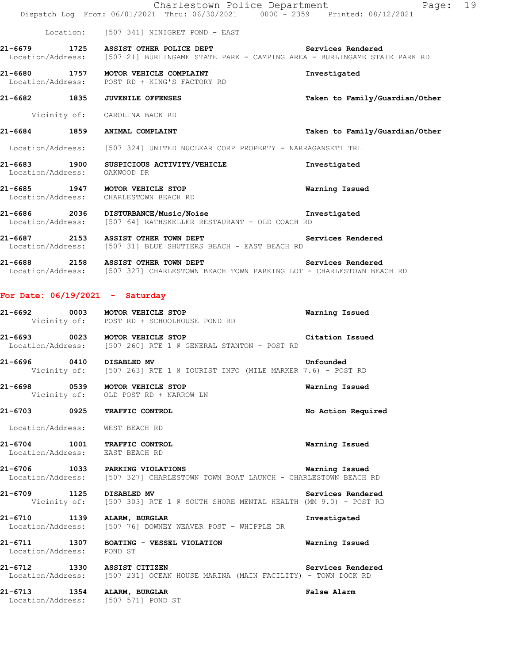|                                   | Charlestown Police Department<br>Dispatch Log From: 06/01/2021 Thru: 06/30/2021 0000 <sup>-</sup> 2359 Printed: 08/12/2021                            | Page: 19                       |
|-----------------------------------|-------------------------------------------------------------------------------------------------------------------------------------------------------|--------------------------------|
|                                   | Location: [507 341] NINIGRET POND - EAST                                                                                                              |                                |
|                                   | 21-6679 1725 ASSIST OTHER POLICE DEPT Services Rendered<br>Location/Address: [507 21] BURLINGAME STATE PARK - CAMPING AREA - BURLINGAME STATE PARK RD |                                |
|                                   | 21-6680 1757 MOTOR VEHICLE COMPLAINT<br>Location/Address: POST RD + KING'S FACTORY RD                                                                 | Investigated                   |
|                                   | 21-6682 1835 JUVENILE OFFENSES                                                                                                                        | Taken to Family/Guardian/Other |
|                                   | Vicinity of: CAROLINA BACK RD                                                                                                                         |                                |
|                                   | 21-6684 1859 ANIMAL COMPLAINT                                                                                                                         | Taken to Family/Guardian/Other |
|                                   | Location/Address: [507 324] UNITED NUCLEAR CORP PROPERTY - NARRAGANSETT TRL                                                                           |                                |
| Location/Address: OAKWOOD DR      | 21-6683 1900 SUSPICIOUS ACTIVITY/VEHICLE                                                                                                              | Investigated                   |
|                                   | 21-6685 1947 MOTOR VEHICLE STOP<br>Location/Address: CHARLESTOWN BEACH RD                                                                             | Warning Issued                 |
|                                   | 21-6686 2036 DISTURBANCE/Music/Noise 21-6686 Investigated<br>Location/Address: [507 64] RATHSKELLER RESTAURANT - OLD COACH RD                         |                                |
|                                   | 21-6687 2153 ASSIST OTHER TOWN DEPT<br>Location/Address: [507 31] BLUE SHUTTERS BEACH - EAST BEACH RD                                                 | Services Rendered              |
|                                   | 21-6688 2158 ASSIST OTHER TOWN DEPT Services Rendered<br>Location/Address: [507 327] CHARLESTOWN BEACH TOWN PARKING LOT - CHARLESTOWN BEACH RD        |                                |
| For Date: $06/19/2021$ - Saturday |                                                                                                                                                       |                                |
|                                   | 21-6692 0003 MOTOR VEHICLE STOP<br>Vicinity of: POST RD + SCHOOLHOUSE POND RD                                                                         | Warning Issued                 |
|                                   | 21-6693 0023 MOTOR VEHICLE STOP<br>Location/Address: [507 260] RTE 1 @ GENERAL STANTON - POST RD                                                      | Citation Issued                |
| 21-6696 0410 DISABLED MV          | Vicinity of: [507 263] RTE 1 @ TOURIST INFO (MILE MARKER 7.6) - POST RD                                                                               | Unfounded                      |
|                                   | 21-6698 0539 MOTOR VEHICLE STOP<br>Vicinity of: OLD POST RD + NARROW LN                                                                               | Warning Issued                 |
|                                   | 21-6703 0925 TRAFFIC CONTROL                                                                                                                          | No Action Required             |
| Location/Address: WEST BEACH RD   |                                                                                                                                                       |                                |
| Location/Address: EAST BEACH RD   | 21-6704 1001 TRAFFIC CONTROL                                                                                                                          | Warning Issued                 |
|                                   | 21-6706 1033 PARKING VIOLATIONS<br>Location/Address: [507 327] CHARLESTOWN TOWN BOAT LAUNCH - CHARLESTOWN BEACH RD                                    | Warning Issued                 |
| 21-6709 1125 DISABLED MV          | Vicinity of: [507 303] RTE 1 @ SOUTH SHORE MENTAL HEALTH (MM 9.0) - POST RD                                                                           | Services Rendered              |
|                                   | 21-6710 1139 ALARM, BURGLAR<br>Location/Address: [507 76] DOWNEY WEAVER POST - WHIPPLE DR                                                             | Investigated                   |
| Location/Address: POND ST         | 21-6711 1307 BOATING - VESSEL VIOLATION                                                                                                               | Warning Issued                 |
|                                   | 21-6712 1330 ASSIST CITIZEN<br>Location/Address: [507 231] OCEAN HOUSE MARINA (MAIN FACILITY) - TOWN DOCK RD                                          | Services Rendered              |
|                                   | 21-6713 1354 ALARM, BURGLAR<br>Location/Address: [507 571] POND ST                                                                                    | False Alarm                    |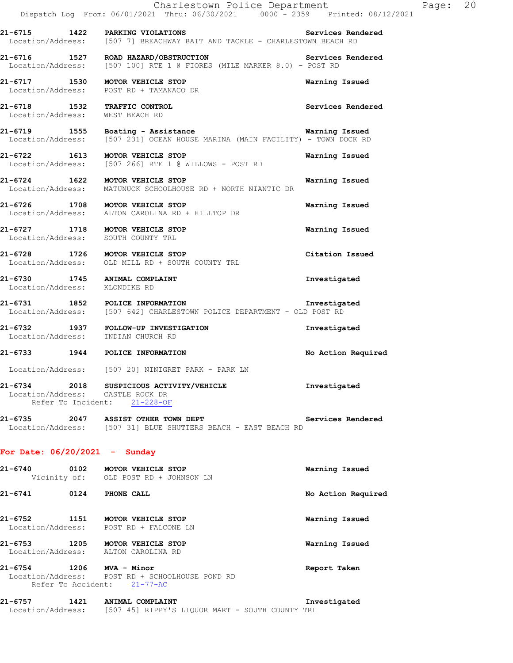|                                  | Charlestown Police Department<br>Dispatch Log From: 06/01/2021 Thru: 06/30/2021 0000 <sup>-</sup> 2359 Printed: 08/12/2021         |                    | Page: 20 |  |
|----------------------------------|------------------------------------------------------------------------------------------------------------------------------------|--------------------|----------|--|
|                                  | Services Rendered<br>21-6715 1422 PARKING VIOLATIONS<br>Location/Address: [507 7] BREACHWAY BAIT AND TACKLE - CHARLESTOWN BEACH RD |                    |          |  |
|                                  | 21-6716 1527 ROAD HAZARD/OBSTRUCTION Services<br>Location/Address: [507 100] RTE 1 @ FIORES (MILE MARKER 8.0) - POST RD            | Services Rendered  |          |  |
|                                  | 21-6717 1530 MOTOR VEHICLE STOP<br>Location/Address: POST RD + TAMANACO DR                                                         | Warning Issued     |          |  |
|                                  | 21-6718 1532 TRAFFIC CONTROL<br>Location/Address: WEST BEACH RD                                                                    | Services Rendered  |          |  |
|                                  | 21-6719 1555 Boating - Assistance Marning Issued<br>Location/Address: [507 231] OCEAN HOUSE MARINA (MAIN FACILITY) - TOWN DOCK RD  |                    |          |  |
|                                  | 21-6722 1613 MOTOR VEHICLE STOP<br>Location/Address: [507 266] RTE 1 @ WILLOWS - POST RD                                           | Warning Issued     |          |  |
|                                  | 21-6724 1622 MOTOR VEHICLE STOP<br>Location/Address: MATUNUCK SCHOOLHOUSE RD + NORTH NIANTIC DR                                    | Warning Issued     |          |  |
|                                  | 21-6726 1708 MOTOR VEHICLE STOP<br>Location/Address: ALTON CAROLINA RD + HILLTOP DR                                                | Warning Issued     |          |  |
|                                  | 21-6727 1718 MOTOR VEHICLE STOP<br>Location/Address: SOUTH COUNTY TRL                                                              | Warning Issued     |          |  |
|                                  | 21-6728 1726 MOTOR VEHICLE STOP<br>Location/Address: OLD MILL RD + SOUTH COUNTY TRL                                                | Citation Issued    |          |  |
| Location/Address: KLONDIKE RD    | 21-6730 1745 ANIMAL COMPLAINT                                                                                                      | Investigated       |          |  |
|                                  | 21-6731 1852 POLICE INFORMATION<br>Location/Address: [507 642] CHARLESTOWN POLICE DEPARTMENT - OLD POST RD                         | Investigated       |          |  |
|                                  | 21-6732 1937 FOLLOW-UP INVESTIGATION<br>Location/Address: INDIAN CHURCH RD                                                         | Investigated       |          |  |
|                                  | 21-6733 1944 POLICE INFORMATION                                                                                                    | No Action Required |          |  |
|                                  | Location/Address: [507 20] NINIGRET PARK - PARK LN                                                                                 |                    |          |  |
| Location/Address: CASTLE ROCK DR | 21-6734 2018 SUSPICIOUS ACTIVITY/VEHICLE<br>Refer To Incident: 21-228-OF                                                           | Investigated       |          |  |
|                                  | 21-6735 2047 ASSIST OTHER TOWN DEPT 2008 Services Rendered<br>Location/Address: [507 31] BLUE SHUTTERS BEACH - EAST BEACH RD       |                    |          |  |
| For Date: $06/20/2021$ - Sunday  |                                                                                                                                    |                    |          |  |
|                                  | 21-6740 0102 MOTOR VEHICLE STOP<br>Vicinity of: OLD POST RD + JOHNSON LN                                                           | Warning Issued     |          |  |
| 21-6741 0124 PHONE CALL          |                                                                                                                                    | No Action Required |          |  |
|                                  | 21-6752 1151 MOTOR VEHICLE STOP<br>Location/Address: POST RD + FALCONE LN                                                          | Warning Issued     |          |  |
|                                  | 21-6753 1205 MOTOR VEHICLE STOP<br>Location/Address: ALTON CAROLINA RD                                                             | Warning Issued     |          |  |
| 21-6754 1206 MVA - Minor         | Location/Address: POST RD + SCHOOLHOUSE POND RD<br>Refer To Accident: 21-77-AC                                                     | Report Taken       |          |  |
|                                  | 21-6757 1421 ANIMAL COMPLAINT                                                                                                      | Investigated       |          |  |

Location/Address: [507 45] RIPPY'S LIQUOR MART - SOUTH COUNTY TRL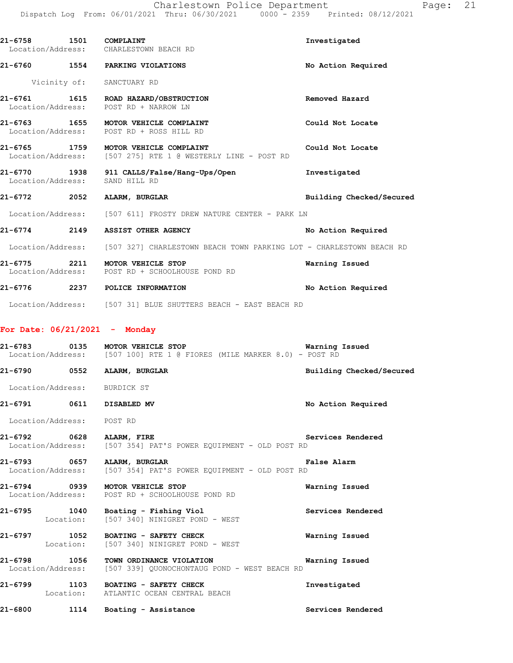| 21-6758 1501 COMPLAINT         | Location/Address: CHARLESTOWN BEACH RD                                                              | Investigated             |
|--------------------------------|-----------------------------------------------------------------------------------------------------|--------------------------|
|                                | 21-6760 1554 PARKING VIOLATIONS                                                                     | No Action Required       |
|                                | Vicinity of: SANCTUARY RD                                                                           |                          |
|                                | 21-6761 1615 ROAD HAZARD/OBSTRUCTION<br>Location/Address: POST RD + NARROW LN                       | Removed Hazard           |
|                                | 21-6763 1655 MOTOR VEHICLE COMPLAINT<br>Location/Address: POST RD + ROSS HILL RD                    | Could Not Locate         |
|                                | 21-6765 1759 MOTOR VEHICLE COMPLAINT<br>Location/Address: [507 275] RTE 1 @ WESTERLY LINE - POST RD | Could Not Locate         |
| Location/Address: SAND HILL RD | 21-6770 1938 911 CALLS/False/Hang-Ups/Open                                                          | Investigated             |
|                                | 21-6772 2052 ALARM, BURGLAR                                                                         | Building Checked/Secured |
|                                | Location/Address: [507 611] FROSTY DREW NATURE CENTER - PARK LN                                     |                          |
|                                | 21-6774 2149 ASSIST OTHER AGENCY                                                                    | No Action Required       |
|                                | Location/Address: [507 327] CHARLESTOWN BEACH TOWN PARKING LOT - CHARLESTOWN BEACH RD               |                          |
|                                | 21-6775 2211 MOTOR VEHICLE STOP<br>Location/Address: POST RD + SCHOOLHOUSE POND RD                  | Warning Issued           |
|                                | 21-6776 2237 POLICE INFORMATION                                                                     | No Action Required       |
|                                | Location/Address: [507 31] BLUE SHUTTERS BEACH - EAST BEACH RD                                      |                          |

## **For Date: 06/21/2021 - Monday**

|                              | 21-6783 0135 MOTOR VEHICLE STOP<br>Location/Address: [507 100] RTE 1 @ FIORES (MILE MARKER 8.0) - POST RD                        | <b>Warning Issued</b>    |
|------------------------------|----------------------------------------------------------------------------------------------------------------------------------|--------------------------|
| 21-6790 0552 ALARM, BURGLAR  |                                                                                                                                  | Building Checked/Secured |
| Location/Address: BURDICK ST |                                                                                                                                  |                          |
| 21-6791 0611 DISABLED MV     |                                                                                                                                  | No Action Required       |
| Location/Address: POST RD    |                                                                                                                                  |                          |
| 21-6792 0628 ALARM, FIRE     | Location/Address: [507 354] PAT'S POWER EQUIPMENT - OLD POST RD                                                                  | <b>Services Rendered</b> |
| 21-6793 0657 ALARM, BURGLAR  | Location/Address: [507 354] PAT'S POWER EOUIPMENT - OLD POST RD                                                                  | <b>False Alarm</b>       |
|                              | 21-6794 0939 MOTOR VEHICLE STOP<br>Location/Address: POST RD + SCHOOLHOUSE POND RD                                               | Warning Issued           |
|                              | 21-6795 1040 Boating - Fishing Viol<br>Location: [507 340] NINIGRET POND - WEST                                                  | Services Rendered        |
|                              | 21-6797 1052 BOATING - SAFETY CHECK<br>Location: [507 340] NINIGRET POND - WEST                                                  | Warning Issued           |
|                              | 21-6798 1056 TOWN ORDINANCE VIOLATION 1997 1997 Warning Issued<br>Location/Address: [507 339] QUONOCHONTAUG POND - WEST BEACH RD |                          |
|                              | 21-6799 1103 BOATING - SAFETY CHECK<br>Location: ATLANTIC OCEAN CENTRAL BEACH                                                    | Investigated             |
|                              | 21-6800 1114 Boating - Assistance                                                                                                | Services Rendered        |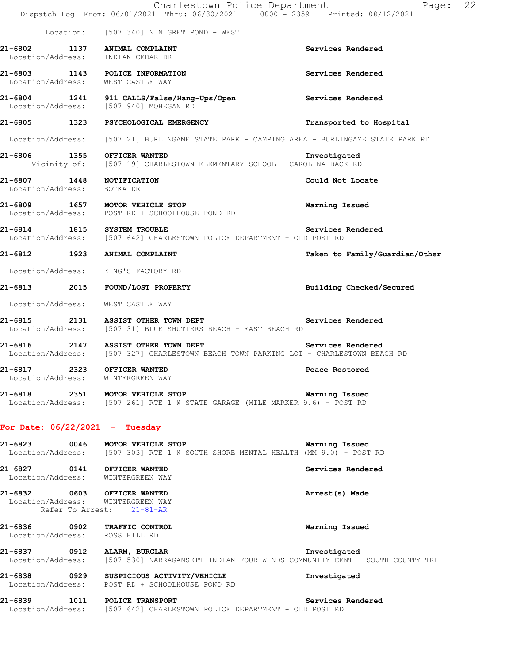|                                                                    | Charlestown Police Department<br>Dispatch Log From: 06/01/2021 Thru: 06/30/2021 0000 - 2359 Printed: 08/12/2021              | Page:                          | 22 |
|--------------------------------------------------------------------|------------------------------------------------------------------------------------------------------------------------------|--------------------------------|----|
|                                                                    | Location: [507 340] NINIGRET POND - WEST                                                                                     |                                |    |
| 21-6802 1137 ANIMAL COMPLAINT<br>Location/Address: INDIAN CEDAR DR |                                                                                                                              | Services Rendered              |    |
| Location/Address: WEST CASTLE WAY                                  | 21-6803 1143 POLICE INFORMATION                                                                                              | Services Rendered              |    |
|                                                                    | 21-6804 1241 911 CALLS/False/Hang-Ups/Open Services Rendered<br>Location/Address: [507 940] MOHEGAN RD                       |                                |    |
|                                                                    | 21-6805 1323 PSYCHOLOGICAL EMERGENCY                                                                                         | Transported to Hospital        |    |
|                                                                    | Location/Address: [507 21] BURLINGAME STATE PARK - CAMPING AREA - BURLINGAME STATE PARK RD                                   |                                |    |
| 21-6806 1355 OFFICER WANTED                                        | Vicinity of: [507 19] CHARLESTOWN ELEMENTARY SCHOOL - CAROLINA BACK RD                                                       | Investigated                   |    |
| 21-6807 1448 NOTIFICATION<br>Location/Address: BOTKA DR            |                                                                                                                              | Could Not Locate               |    |
|                                                                    | 21-6809 1657 MOTOR VEHICLE STOP<br>Location/Address: POST RD + SCHOOLHOUSE POND RD                                           | Warning Issued                 |    |
| 21-6814 1815 SYSTEM TROUBLE                                        | Location/Address: [507 642] CHARLESTOWN POLICE DEPARTMENT - OLD POST RD                                                      | Services Rendered              |    |
| 21-6812 1923 ANIMAL COMPLAINT                                      |                                                                                                                              | Taken to Family/Guardian/Other |    |
|                                                                    | Location/Address: KING'S FACTORY RD                                                                                          |                                |    |
|                                                                    | 21-6813 2015 FOUND/LOST PROPERTY                                                                                             | Building Checked/Secured       |    |
| Location/Address: WEST CASTLE WAY                                  |                                                                                                                              |                                |    |
|                                                                    | 21-6815 2131 ASSIST OTHER TOWN DEPT<br>Location/Address: [507 31] BLUE SHUTTERS BEACH - EAST BEACH RD                        | Services Rendered              |    |
|                                                                    | 21-6816 2147 ASSIST OTHER TOWN DEPT<br>Location/Address: [507 327] CHARLESTOWN BEACH TOWN PARKING LOT - CHARLESTOWN BEACH RD | Services Rendered              |    |
| 21-6817 2323 OFFICER WANTED<br>Location/Address: WINTERGREEN WAY   |                                                                                                                              | Peace Restored                 |    |
|                                                                    | 21-6818 2351 MOTOR VEHICLE STOP<br>Location/Address: [507 261] RTE 1 @ STATE GARAGE (MILE MARKER 9.6) - POST RD              | Warning Issued                 |    |
| For Date: $06/22/2021$ - Tuesday                                   |                                                                                                                              |                                |    |
|                                                                    | 21-6823 0046 MOTOR VEHICLE STOP<br>Location/Address: [507 303] RTE 1 @ SOUTH SHORE MENTAL HEALTH (MM 9.0) - POST RD          | Warning Issued                 |    |
| 21-6827 0141 OFFICER WANTED<br>Location/Address: WINTERGREEN WAY   |                                                                                                                              | Services Rendered              |    |
| 21-6832 0603 OFFICER WANTED<br>Location/Address: WINTERGREEN WAY   | Refer To Arrest: 21-81-AR                                                                                                    | Arrest(s) Made                 |    |
| 21-6836 0902 TRAFFIC CONTROL<br>Location/Address: ROSS HILL RD     |                                                                                                                              | Warning Issued                 |    |
| 21-6837 0912 ALARM, BURGLAR                                        | Location/Address: [507 530] NARRAGANSETT INDIAN FOUR WINDS COMMUNITY CENT - SOUTH COUNTY TRL                                 | Investigated                   |    |
|                                                                    | 21-6838 0929 SUSPICIOUS ACTIVITY/VEHICLE<br>Location/Address: POST RD + SCHOOLHOUSE POND RD                                  | Investigated                   |    |
|                                                                    | 21-6839 1011 POLICE TRANSPORT<br>Location/Address: [507 642] CHARLESTOWN POLICE DEPARTMENT - OLD POST RD                     | Services Rendered              |    |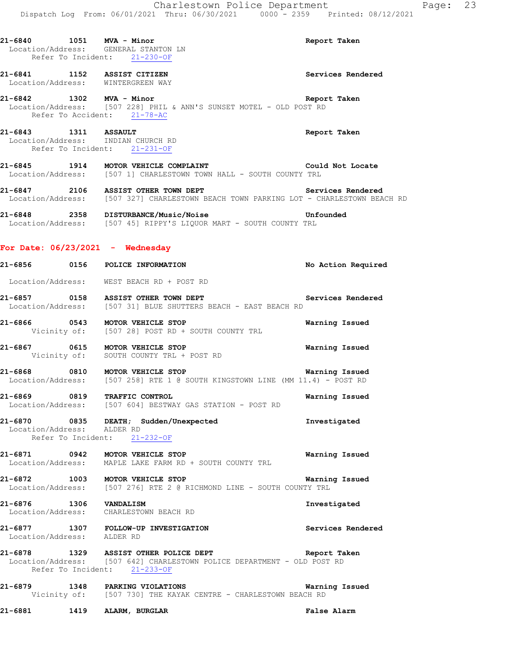|                            | 21-6840 1051 MVA - Minor<br>Location/Address: GENERAL STANTON LN<br>Refer To Incident: 21-230-OF                                                 | Report Taken       |
|----------------------------|--------------------------------------------------------------------------------------------------------------------------------------------------|--------------------|
|                            | 21-6841 1152 ASSIST CITIZEN<br>Location/Address: WINTERGREEN WAY                                                                                 | Services Rendered  |
| 21-6842 1302 MVA - Minor   | Location/Address: [507 228] PHIL & ANN'S SUNSET MOTEL - OLD POST RD<br>Refer To Accident: 21-78-AC                                               | Report Taken       |
|                            | 21-6843 1311 ASSAULT<br>Location/Address: INDIAN CHURCH RD<br>Refer To Incident: 21-231-OF                                                       | Report Taken       |
|                            | 21-6845 1914 MOTOR VEHICLE COMPLAINT Could Not Locate<br>Location/Address: [507 1] CHARLESTOWN TOWN HALL - SOUTH COUNTY TRL                      |                    |
|                            | 21-6847 2106 ASSIST OTHER TOWN DEPT<br>Location/Address: [507 327] CHARLESTOWN BEACH TOWN PARKING LOT - CHARLESTOWN BEACH RD                     | Services Rendered  |
|                            | 21-6848 2358 DISTURBANCE/Music/Noise 21-6848 Unfounded<br>Location/Address: [507 45] RIPPY'S LIQUOR MART - SOUTH COUNTY TRL                      |                    |
|                            | For Date: $06/23/2021$ - Wednesday                                                                                                               |                    |
|                            | 21-6856 0156 POLICE INFORMATION                                                                                                                  | No Action Required |
|                            | Location/Address: WEST BEACH RD + POST RD                                                                                                        |                    |
|                            | 21-6857 0158 ASSIST OTHER TOWN DEPT<br>Location/Address: [507 31] BLUE SHUTTERS BEACH - EAST BEACH RD                                            | Services Rendered  |
|                            | 21-6866 0543 MOTOR VEHICLE STOP<br>Vicinity of: [507 28] POST RD + SOUTH COUNTY TRL                                                              | Warning Issued     |
|                            | 21-6867 0615 MOTOR VEHICLE STOP<br>Vicinity of: SOUTH COUNTY TRL + POST RD                                                                       | Warning Issued     |
|                            | 21-6868 0810 MOTOR VEHICLE STOP<br><b>Warning Issued</b><br>Location/Address: [507 258] RTE 1 @ SOUTH KINGSTOWN LINE (MM 11.4) - POST RD         |                    |
|                            | 21-6869 0819 TRAFFIC CONTROL<br>Location/Address: [507 604] BESTWAY GAS STATION - POST RD                                                        | Warning Issued     |
| Location/Address: ALDER RD | 21-6870 0835 DEATH; Sudden/Unexpected<br>Refer To Incident: 21-232-OF                                                                            | Investigated       |
|                            | 21-6871 0942 MOTOR VEHICLE STOP<br>Location/Address: MAPLE LAKE FARM RD + SOUTH COUNTY TRL                                                       | Warning Issued     |
|                            | 21-6872 1003 MOTOR VEHICLE STOP WATNING DOCATION/Address: [507 276] RTE 2 @ RICHMOND LINE - SOUTH COUNTY TRL                                     | Warning Issued     |
| 21-6876 1306 VANDALISM     | Location/Address: CHARLESTOWN BEACH RD                                                                                                           | Investigated       |
| Location/Address: ALDER RD | 21-6877 1307 FOLLOW-UP INVESTIGATION                                                                                                             | Services Rendered  |
|                            | 21-6878 1329 ASSIST OTHER POLICE DEPT<br>Location/Address: [507 642] CHARLESTOWN POLICE DEPARTMENT - OLD POST RD<br>Refer To Incident: 21-233-OF | Report Taken       |
|                            | 21-6879 1348 PARKING VIOLATIONS<br>Vicinity of: [507 730] THE KAYAK CENTRE - CHARLESTOWN BEACH RD                                                | Warning Issued     |

**21-6881 1419 ALARM, BURGLAR False Alarm**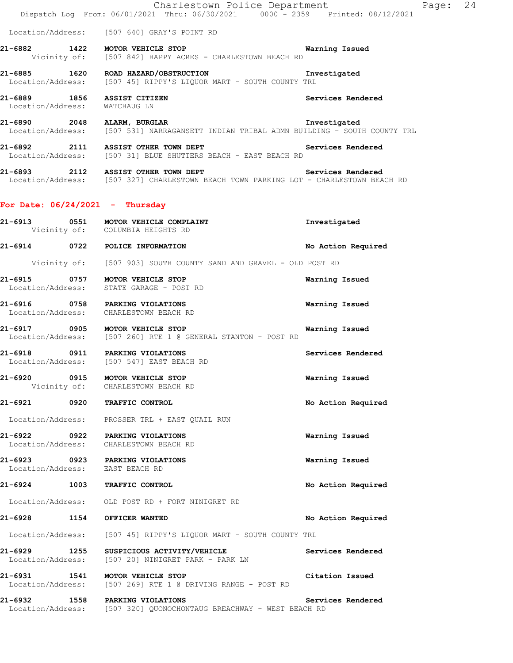|                                   |      | Charlestown Police Department<br>Dispatch Log From: 06/01/2021 Thru: 06/30/2021 0000 - 2359 Printed: 08/12/2021                                                    |                    | Page: 24 |
|-----------------------------------|------|--------------------------------------------------------------------------------------------------------------------------------------------------------------------|--------------------|----------|
|                                   |      | Location/Address: [507 640] GRAY'S POINT RD                                                                                                                        |                    |          |
|                                   |      | <b>Warning Issued</b><br>21-6882 1422 MOTOR VEHICLE STOP<br>Vicinity of: [507 842] HAPPY ACRES - CHARLESTOWN BEACH RD                                              |                    |          |
|                                   |      | Location/Address: [507 45] RIPPY'S LIQUOR MART - SOUTH COUNTY TRL                                                                                                  |                    |          |
| Location/Address: WATCHAUG LN     |      | 21-6889 1856 ASSIST CITIZEN                                                                                                                                        | Services Rendered  |          |
|                                   |      | 21-6890 2048 ALARM, BURGLAR INDIAN TRIBAL ADMN BUILDING - SOUTH COUNTY TRL Location/Address: [507 531] NARRAGANSETT INDIAN TRIBAL ADMN BUILDING - SOUTH COUNTY TRL |                    |          |
|                                   |      | 21-6892 2111 ASSIST OTHER TOWN DEPT<br>Location/Address: [507 31] BLUE SHUTTERS BEACH - EAST BEACH RD                                                              | Services Rendered  |          |
|                                   |      | 21-6893 2112 ASSIST OTHER TOWN DEPT Services Rendered<br>Location/Address: [507 327] CHARLESTOWN BEACH TOWN PARKING LOT - CHARLESTOWN BEACH RD                     |                    |          |
|                                   |      | For Date: $06/24/2021$ - Thursday                                                                                                                                  |                    |          |
|                                   |      | 21-6913 0551 MOTOR VEHICLE COMPLAINT<br>Vicinity of: COLUMBIA HEIGHTS RD                                                                                           | Investigated       |          |
|                                   |      | 21-6914 0722 POLICE INFORMATION                                                                                                                                    | No Action Required |          |
|                                   |      | Vicinity of: [507 903] SOUTH COUNTY SAND AND GRAVEL - OLD POST RD                                                                                                  |                    |          |
|                                   |      | 21-6915 0757 MOTOR VEHICLE STOP<br>Location/Address: STATE GARAGE - POST RD                                                                                        | Warning Issued     |          |
|                                   |      | 21-6916 0758 PARKING VIOLATIONS<br>Location/Address: CHARLESTOWN BEACH RD                                                                                          | Warning Issued     |          |
|                                   |      | 21-6917 0905 MOTOR VEHICLE STOP<br>Location/Address: [507 260] RTE 1 @ GENERAL STANTON - POST RD                                                                   | Warning Issued     |          |
|                                   |      | 21-6918 0911 PARKING VIOLATIONS<br>Location/Address: [507 547] EAST BEACH RD                                                                                       | Services Rendered  |          |
|                                   |      | 21-6920 0915 MOTOR VEHICLE STOP<br>Vicinity of: CHARLESTOWN BEACH RD                                                                                               | Warning Issued     |          |
|                                   |      | 21-6921 0920 TRAFFIC CONTROL                                                                                                                                       | No Action Required |          |
|                                   |      | Location/Address: PROSSER TRL + EAST QUAIL RUN                                                                                                                     |                    |          |
|                                   |      | 21-6922 0922 PARKING VIOLATIONS<br>Location/Address: CHARLESTOWN BEACH RD                                                                                          | Warning Issued     |          |
|                                   |      | 21-6923 0923 PARKING VIOLATIONS<br>Location/Address: EAST BEACH RD                                                                                                 | Warning Issued     |          |
|                                   |      | 21-6924 1003 TRAFFIC CONTROL                                                                                                                                       | No Action Required |          |
|                                   |      | Location/Address: OLD POST RD + FORT NINIGRET RD                                                                                                                   |                    |          |
| 21-6928                           | 1154 | OFFICER WANTED                                                                                                                                                     | No Action Required |          |
|                                   |      | Location/Address: [507 45] RIPPY'S LIQUOR MART - SOUTH COUNTY TRL                                                                                                  |                    |          |
| 21-6929 1255<br>Location/Address: |      | SUSPICIOUS ACTIVITY/VEHICLE<br>[507 20] NINIGRET PARK - PARK LN                                                                                                    | Services Rendered  |          |
| 21-6931 1541                      |      | MOTOR VEHICLE STOP<br>Location/Address: [507 269] RTE 1 @ DRIVING RANGE - POST RD                                                                                  | Citation Issued    |          |
|                                   |      | 21-6932 1558 PARKING VIOLATIONS<br>Location/Address: [507 320] QUONOCHONTAUG BREACHWAY - WEST BEACH RD                                                             | Services Rendered  |          |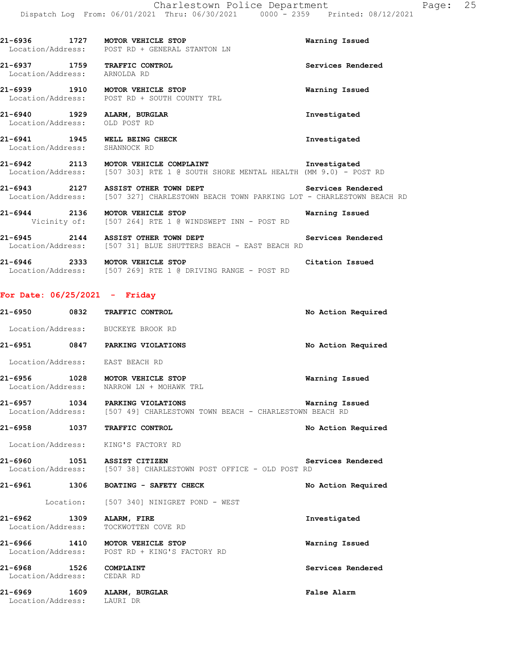| i: 06/30/2021 | $0000 - 2359$ |  | Printed: 08/12/202 |
|---------------|---------------|--|--------------------|
|               |               |  |                    |

| 21-6936<br>Location/Address: | 1727 | MOTOR VEHICLE STOP<br>POST RD + GENERAL STANTON LN | Warning Issued    |
|------------------------------|------|----------------------------------------------------|-------------------|
| 21-6937<br>Location/Address: | 1759 | <b>TRAFFIC CONTROL</b><br>ARNOLDA RD               | Services Rendered |
| 21-6939<br>Location/Address: | 1910 | MOTOR VEHICLE STOP<br>POST RD + SOUTH COUNTY TRL   | Warning Issued    |

**21-6940 1929 ALARM, BURGLAR Investigated**  Location/Address: OLD POST RD

**21-6941 1945 WELL BEING CHECK Investigated**  Location/Address: SHANNOCK RD

**21-6942 2113 MOTOR VEHICLE COMPLAINT Investigated**  Location/Address: [507 303] RTE 1 @ SOUTH SHORE MENTAL HEALTH (MM 9.0) - POST RD

21-6943 2127 ASSIST OTHER TOWN DEPT **1200 Services Rendered** Location/Address: [507 327] CHARLESTOWN BEACH TOWN PARKING LOT - CHARLESTOWN BEACH RD

**21-6944 2136 MOTOR VEHICLE STOP Warning Issued**  Vicinity of: [507 264] RTE 1 @ WINDSWEPT INN - POST RD

**21-6945 2144 ASSIST OTHER TOWN DEPT 2145 Services Rendered Location/Address:** [507 31] BLUE SHUTTERS BEACH - EAST BEACH RD [507 31] BLUE SHUTTERS BEACH - EAST BEACH RD

**21-6946 2333 MOTOR VEHICLE STOP Citation Issued**  Location/Address: [507 269] RTE 1 @ DRIVING RANGE - POST RD

### **For Date: 06/25/2021 - Friday**

| 21-6950 0832 TRAFFIC CONTROL                         |                                                                                                             | No Action Required |
|------------------------------------------------------|-------------------------------------------------------------------------------------------------------------|--------------------|
| Location/Address: BUCKEYE BROOK RD                   |                                                                                                             |                    |
| 21-6951 0847                                         | PARKING VIOLATIONS                                                                                          | No Action Required |
| Location/Address: EAST BEACH RD                      |                                                                                                             |                    |
|                                                      | 21-6956 1028 MOTOR VEHICLE STOP<br>Location/Address: NARROW LN + MOHAWK TRL                                 | Warning Issued     |
|                                                      | 21-6957 1034 PARKING VIOLATIONS<br>Location/Address: [507 49] CHARLESTOWN TOWN BEACH - CHARLESTOWN BEACH RD | Warning Issued     |
| 21-6958 1037                                         | TRAFFIC CONTROL                                                                                             | No Action Required |
| Location/Address: KING'S FACTORY RD                  |                                                                                                             |                    |
| 21-6960 1051 ASSIST CITIZEN                          | Location/Address: [507 38] CHARLESTOWN POST OFFICE - OLD POST RD                                            | Services Rendered  |
|                                                      | 21-6961 1306 BOATING - SAFETY CHECK                                                                         | No Action Required |
|                                                      | Location: [507 340] NINIGRET POND - WEST                                                                    |                    |
| 21-6962 1309 ALARM, FIRE<br>Location/Address:        | TOCKWOTTEN COVE RD                                                                                          | Investigated       |
| 21-6966 1410 MOTOR VEHICLE STOP                      | Location/Address: POST RD + KING'S FACTORY RD                                                               | Warning Issued     |
| 21-6968 1526 COMPLAINT<br>Location/Address: CEDAR RD |                                                                                                             | Services Rendered  |
| 21-6969 1609 ALARM, BURGLAR<br>Location/Address:     | LAURI DR                                                                                                    | False Alarm        |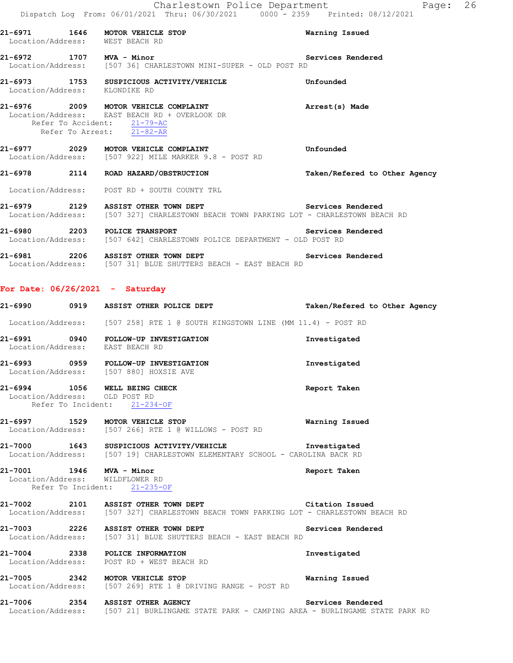|                               | Charlestown Police Department<br>Dispatch Log From: 06/01/2021 Thru: 06/30/2021 0000 - 2359 Printed: 08/12/2021                                                | Page: 26                      |  |
|-------------------------------|----------------------------------------------------------------------------------------------------------------------------------------------------------------|-------------------------------|--|
|                               | 21-6971 1646 MOTOR VEHICLE STOP<br>Location/Address: WEST BEACH RD                                                                                             | Warning Issued                |  |
|                               | 21-6972 1707 MVA - Minor<br>Location/Address: [507 36] CHARLESTOWN MINI-SUPER - OLD POST RD                                                                    | Services Rendered             |  |
| Location/Address: KLONDIKE RD | 21-6973 1753 SUSPICIOUS ACTIVITY/VEHICLE                                                                                                                       | Unfounded                     |  |
|                               | 21-6976 2009 MOTOR VEHICLE COMPLAINT<br>Location/Address: EAST BEACH RD + OVERLOOK DR<br>Refer To Accident: 21-79-AC<br>Refer To Arrest: $\overline{21-82-AR}$ | Arrest(s) Made                |  |
|                               | 21-6977 2029 MOTOR VEHICLE COMPLAINT<br>Location/Address: [507 922] MILE MARKER 9.8 - POST RD                                                                  | Unfounded                     |  |
|                               | 21-6978 2114 ROAD HAZARD/OBSTRUCTION                                                                                                                           | Taken/Refered to Other Agency |  |
|                               | Location/Address: POST RD + SOUTH COUNTY TRL                                                                                                                   |                               |  |
|                               | 21-6979 2129 ASSIST OTHER TOWN DEPT Services Rendered<br>Location/Address: [507 327] CHARLESTOWN BEACH TOWN PARKING LOT - CHARLESTOWN BEACH RD                 |                               |  |
|                               | 21-6980 2203 POLICE TRANSPORT Services<br>Location/Address: [507 642] CHARLESTOWN POLICE DEPARTMENT - OLD POST RD                                              | Services Rendered             |  |
|                               | 21-6981 2206 ASSIST OTHER TOWN DEPT Services Rendered<br>Location/Address: [507 31] BLUE SHUTTERS BEACH - EAST BEACH RD                                        |                               |  |
|                               | For Date: $06/26/2021 -$ Saturday                                                                                                                              |                               |  |
|                               | 21-6990 0919 ASSIST OTHER POLICE DEPT Taken/Refered to Other Agency                                                                                            |                               |  |
|                               | Location/Address: [507 258] RTE 1 @ SOUTH KINGSTOWN LINE (MM 11.4) - POST RD                                                                                   |                               |  |
|                               | 21-6991 0940 FOLLOW-UP INVESTIGATION<br>Location/Address: EAST BEACH RD                                                                                        | Investigated                  |  |
|                               | 21-6993 0959 FOLLOW-UP INVESTIGATION<br>Location/Address: [507 880] HOXSIE AVE                                                                                 | Investigated                  |  |
| Location/Address: OLD POST RD | 21-6994 1056 WELL BEING CHECK<br>Refer To Incident: 21-234-OF                                                                                                  | Report Taken                  |  |

**21-6997 1529 MOTOR VEHICLE STOP Warning Issued**  Location/Address: [507 266] RTE 1 @ WILLOWS - POST RD

**21-7000 1643 SUSPICIOUS ACTIVITY/VEHICLE Investigated**  Location/Address: [507 19] CHARLESTOWN ELEMENTARY SCHOOL - CAROLINA BACK RD

**21-7001 1946 MVA - Minor Report Taken**  Location/Address: WILDFLOWER RD Refer To Incident: 21-235-OF

**21-7002 2101 ASSIST OTHER TOWN DEPT Citation Issued**  Location/Address: [507 327] CHARLESTOWN BEACH TOWN PARKING LOT - CHARLESTOWN BEACH RD

**21-7003 2226 ASSIST OTHER TOWN DEPT Services Rendered**  Location/Address: [507 31] BLUE SHUTTERS BEACH - EAST BEACH RD

**21-7004 2338 POLICE INFORMATION Investigated**  Location/Address: POST RD + WEST BEACH RD

**21-7005 2342 MOTOR VEHICLE STOP Warning Issued**  Location/Address: [507 269] RTE 1 @ DRIVING RANGE - POST RD

**21-7006 2354 ASSIST OTHER AGENCY Services Rendered** 

Location/Address: [507 21] BURLINGAME STATE PARK - CAMPING AREA - BURLINGAME STATE PARK RD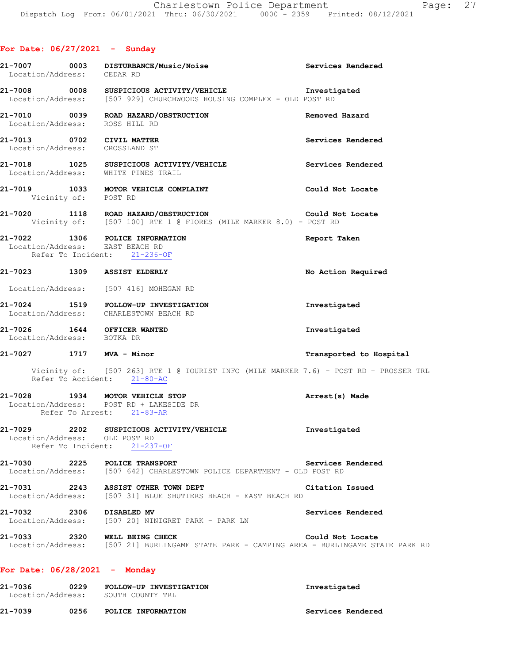| Location/Address: CEDAR RD                                  | 21-7007 0003 DISTURBANCE/Music/Noise                                                                                                            | Services Rendered       |
|-------------------------------------------------------------|-------------------------------------------------------------------------------------------------------------------------------------------------|-------------------------|
|                                                             | 21-7008 0008 SUSPICIOUS ACTIVITY/VEHICLE <b>Investigated</b> Investigated Location/Address: [507 929] CHURCHWOODS HOUSING COMPLEX - OLD POST RD |                         |
| Location/Address: ROSS HILL RD                              | 21-7010 0039 ROAD HAZARD/OBSTRUCTION                                                                                                            | Removed Hazard          |
| 21-7013 0702 CIVIL MATTER<br>Location/Address: CROSSLAND ST |                                                                                                                                                 | Services Rendered       |
|                                                             | 21-7018 1025 SUSPICIOUS ACTIVITY/VEHICLE<br>Location/Address: WHITE PINES TRAIL                                                                 | Services Rendered       |
| Vicinity of: POST RD                                        | 21-7019 1033 MOTOR VEHICLE COMPLAINT                                                                                                            | Could Not Locate        |
|                                                             | 21-7020 1118 ROAD HAZARD/OBSTRUCTION<br>Could Not Locate<br>Vicinity of: [507 100] RTE 1 @ FIORES (MILE MARKER 8.0) - POST RD                   |                         |
| Location/Address: EAST BEACH RD                             | 21-7022 1306 POLICE INFORMATION<br>Refer To Incident: 21-236-OF                                                                                 | Report Taken            |
|                                                             | 21-7023 1309 ASSIST ELDERLY                                                                                                                     | No Action Required      |
|                                                             | Location/Address: [507 416] MOHEGAN RD                                                                                                          |                         |
|                                                             | 21-7024 1519 FOLLOW-UP INVESTIGATION<br>Location/Address: CHARLESTOWN BEACH RD                                                                  | Investigated            |
| Location/Address: BOTKA DR                                  | 21-7026 1644 OFFICER WANTED                                                                                                                     | Investigated            |
| 21-7027 1717 MVA - Minor                                    |                                                                                                                                                 | Transported to Hospital |
|                                                             | Vicinity of: [507 263] RTE 1 @ TOURIST INFO (MILE MARKER 7.6) - POST RD + PROSSER TRL<br>Refer To Accident: 21-80-AC                            |                         |
|                                                             | 21-7028 1934 MOTOR VEHICLE STOP<br>Location/Address: POST RD + LAKESIDE DR<br>Refer To Arrest: 21-83-AR                                         | Arrest(s) Made          |
| Location/Address: OLD POST RD                               | 21-7029 2202 SUSPICIOUS ACTIVITY/VEHICLE Threstigated<br>Refer To Incident: 21-237-OF                                                           |                         |
|                                                             | 21-7030 2225 POLICE TRANSPORT<br>Location/Address: [507 642] CHARLESTOWN POLICE DEPARTMENT - OLD POST RD                                        | Services Rendered       |
|                                                             | 21-7031 2243 ASSIST OTHER TOWN DEPT<br>Location/Address: [507 31] BLUE SHUTTERS BEACH - EAST BEACH RD                                           | Citation Issued         |
| 21-7032 2306 DISABLED MV                                    | Location/Address: [507 20] NINIGRET PARK - PARK LN                                                                                              | Services Rendered       |
|                                                             | 21-7033 2320 WELL BEING CHECK<br>Location/Address: [507 21] BURLINGAME STATE PARK - CAMPING AREA - BURLINGAME STATE PARK RD                     | Could Not Locate        |
| For Date: $06/28/2021$ - Monday                             |                                                                                                                                                 |                         |
|                                                             | 21-7036 0229 FOLLOW-UP INVESTIGATION<br>Location/Address: SOUTH COUNTY TRL                                                                      | Investigated            |

**21-7039 0256 POLICE INFORMATION Services Rendered**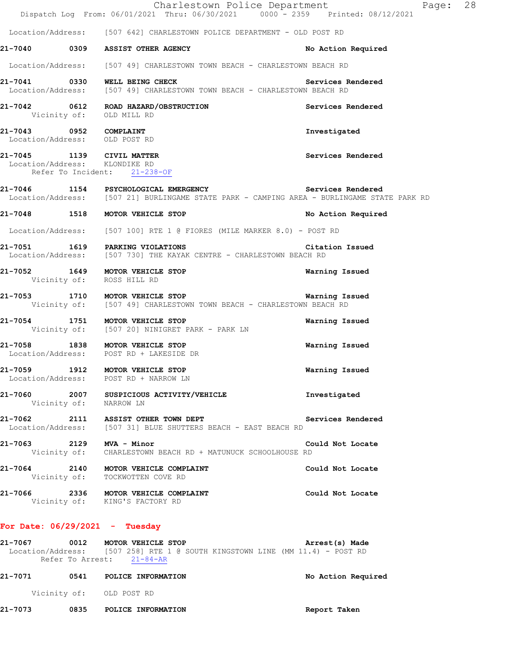|  |                                                                                                           | Charlestown Police Department<br>Page: 28<br>Dispatch Log From: 06/01/2021 Thru: 06/30/2021 0000 - 2359 Printed: 08/12/2021 |  |
|--|-----------------------------------------------------------------------------------------------------------|-----------------------------------------------------------------------------------------------------------------------------|--|
|  | Location/Address: [507 642] CHARLESTOWN POLICE DEPARTMENT - OLD POST RD                                   |                                                                                                                             |  |
|  | 21-7040 0309 ASSIST OTHER AGENCY                                                                          | No Action Required                                                                                                          |  |
|  | Location/Address: [507 49] CHARLESTOWN TOWN BEACH - CHARLESTOWN BEACH RD                                  |                                                                                                                             |  |
|  | 21-7041 0330 WELL BEING CHECK<br>Location/Address: [507 49] CHARLESTOWN TOWN BEACH - CHARLESTOWN BEACH RD | Services Rendered                                                                                                           |  |
|  | 21-7042 0612 ROAD HAZARD/OBSTRUCTION<br>Vicinity of: OLD MILL RD                                          | Services Rendered                                                                                                           |  |
|  | 21-7043 0952 COMPLAINT<br>Location/Address: OLD POST RD                                                   | Investigated                                                                                                                |  |
|  | 21-7045 1139 CIVIL MATTER<br>Location/Address: KLONDIKE RD<br>Refer To Incident: 21-238-OF                | Services Rendered                                                                                                           |  |
|  | 21-7046 1154 PSYCHOLOGICAL EMERGENCY Services Rendered                                                    | Location/Address: [507 21] BURLINGAME STATE PARK - CAMPING AREA - BURLINGAME STATE PARK RD                                  |  |
|  | 21-7048 1518 MOTOR VEHICLE STOP                                                                           | No Action Required                                                                                                          |  |
|  | Location/Address: [507 100] RTE 1 @ FIORES (MILE MARKER 8.0) - POST RD                                    |                                                                                                                             |  |
|  | 21-7051 1619 PARKING VIOLATIONS<br>Location/Address: [507 730] THE KAYAK CENTRE - CHARLESTOWN BEACH RD    | Citation Issued                                                                                                             |  |
|  | 21-7052 1649 MOTOR VEHICLE STOP<br>Vicinity of: ROSS HILL RD                                              | Warning Issued                                                                                                              |  |
|  | 21-7053 1710 MOTOR VEHICLE STOP<br>Vicinity of: [507 49] CHARLESTOWN TOWN BEACH - CHARLESTOWN BEACH RD    | Warning Issued                                                                                                              |  |
|  | 21-7054 1751 MOTOR VEHICLE STOP<br>Vicinity of: [507 20] NINIGRET PARK - PARK LN                          | Warning Issued                                                                                                              |  |
|  | 21-7058 1838 MOTOR VEHICLE STOP<br>Location/Address: POST RD + LAKESIDE DR                                | Warning Issued                                                                                                              |  |
|  | 21-7059 1912 MOTOR VEHICLE STOP<br>Location/Address: POST RD + NARROW LN                                  | Warning Issued                                                                                                              |  |
|  | 21-7060 2007 SUSPICIOUS ACTIVITY/VEHICLE<br>Vicinity of: NARROW LN                                        | Investigated                                                                                                                |  |
|  | 21-7062 2111 ASSIST OTHER TOWN DEPT<br>Location/Address: [507 31] BLUE SHUTTERS BEACH - EAST BEACH RD     | Services Rendered                                                                                                           |  |
|  | 21-7063 2129 MVA - Minor<br>Vicinity of: CHARLESTOWN BEACH RD + MATUNUCK SCHOOLHOUSE RD                   | Could Not Locate                                                                                                            |  |
|  | 21-7064 2140 MOTOR VEHICLE COMPLAINT<br>Vicinity of: TOCKWOTTEN COVE RD                                   | Could Not Locate                                                                                                            |  |
|  | 21-7066 2336 MOTOR VEHICLE COMPLAINT<br>Vicinity of: KING'S FACTORY RD                                    | Could Not Locate                                                                                                            |  |
|  | For Date: 06/29/2021 - Tuesday                                                                            |                                                                                                                             |  |

**21-7067 0012 MOTOR VEHICLE STOP Arrest(s) Made**  Location/Address: [507 258] RTE 1 @ SOUTH KINGSTOWN LINE (MM 11.4) - POST RD Refer To Arrest: 21-84-AR

| 21-7071 | 0541 | POLICE INFORMATION       | No Action Required |
|---------|------|--------------------------|--------------------|
|         |      | Vicinity of: OLD POST RD |                    |
| 21-7073 | 0835 | POLICE INFORMATION       | Report Taken       |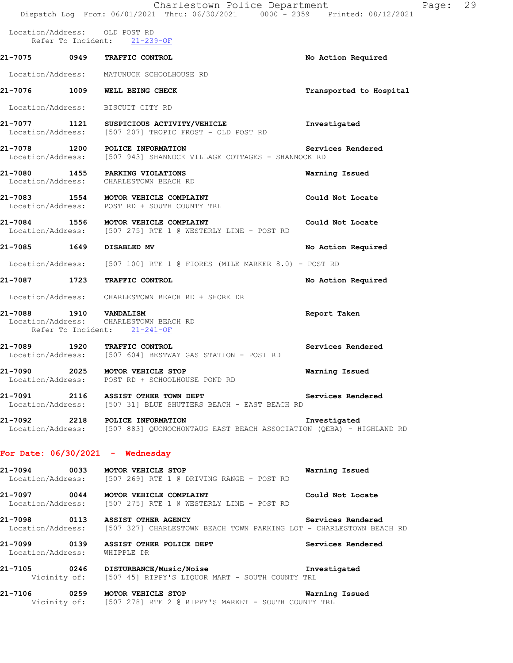|                              | Charlestown Police Department<br>Dispatch Log From: 06/01/2021 Thru: 06/30/2021 0000 - 2359 Printed: 08/12/2021                                                  | Page: 29                |  |
|------------------------------|------------------------------------------------------------------------------------------------------------------------------------------------------------------|-------------------------|--|
|                              | Location/Address: OLD POST RD<br>Refer To Incident: 21-239-OF                                                                                                    |                         |  |
|                              | 21-7075 0949 TRAFFIC CONTROL                                                                                                                                     | No Action Required      |  |
|                              | Location/Address: MATUNUCK SCHOOLHOUSE RD                                                                                                                        |                         |  |
|                              | 21-7076 1009 WELL BEING CHECK                                                                                                                                    | Transported to Hospital |  |
|                              | Location/Address: BISCUIT CITY RD                                                                                                                                |                         |  |
|                              | 21-7077 1121 SUSPICIOUS ACTIVITY/VEHICLE<br>Location/Address: [507 207] TROPIC FROST - OLD POST RD                                                               | Investigated            |  |
|                              | 21-7078 1200 POLICE INFORMATION<br>Location/Address: [507 943] SHANNOCK VILLAGE COTTAGES - SHANNOCK RD                                                           | Services Rendered       |  |
|                              | 21-7080 1455 PARKING VIOLATIONS<br>Location/Address: CHARLESTOWN BEACH RD                                                                                        | Warning Issued          |  |
|                              | 21-7083 1554 MOTOR VEHICLE COMPLAINT<br>Location/Address: POST RD + SOUTH COUNTY TRL                                                                             | Could Not Locate        |  |
|                              | 21-7084 1556 MOTOR VEHICLE COMPLAINT<br>  Location/Address: [507 275] RTE 1 @ WESTERLY LINE - POST RD                                                            | Could Not Locate        |  |
| 21-7085 1649 DISABLED MV     |                                                                                                                                                                  | No Action Required      |  |
|                              | Location/Address: [507 100] RTE 1 @ FIORES (MILE MARKER 8.0) - POST RD                                                                                           |                         |  |
|                              | 21-7087 1723 TRAFFIC CONTROL                                                                                                                                     | No Action Required      |  |
|                              | Location/Address: CHARLESTOWN BEACH RD + SHORE DR                                                                                                                |                         |  |
| 21-7088 1910 VANDALISM       | Location/Address: CHARLESTOWN BEACH RD<br>Refer To Incident: 21-241-OF                                                                                           | Report Taken            |  |
|                              | 21-7089 1920 TRAFFIC CONTROL<br>Location/Address: [507 604] BESTWAY GAS STATION - POST RD                                                                        | Services Rendered       |  |
| 21-7090                      | 2025 MOTOR VEHICLE STOP<br>Location/Address: POST RD + SCHOOLHOUSE POND RD                                                                                       | Warning Issued          |  |
|                              | 21-7091 2116 ASSIST OTHER TOWN DEPT<br>Location/Address: [507 31] BLUE SHUTTERS BEACH - EAST BEACH RD                                                            | Services Rendered       |  |
|                              | 21-7092 2218 POLICE INFORMATION<br>Location/Address: [507 883] QUONOCHONTAUG EAST BEACH ASSOCIATION (QEBA) - HIGHLAND RD                                         | Investigated            |  |
|                              | For Date: $06/30/2021$ - Wednesday                                                                                                                               |                         |  |
|                              | 21-7094 0033 MOTOR VEHICLE STOP<br>Location/Address: [507 269] RTE 1 @ DRIVING RANGE - POST RD                                                                   | Warning Issued          |  |
|                              | 21-7097 0044 MOTOR VEHICLE COMPLAINT<br>Location/Address: [507 275] RTE 1 @ WESTERLY LINE - POST RD                                                              | Could Not Locate        |  |
|                              | 21-7098      0113   ASSIST OTHER AGENCY               Services Rendered<br>Location/Address: [507 327] CHARLESTOWN BEACH TOWN PARKING LOT - CHARLESTOWN BEACH RD |                         |  |
| Location/Address: WHIPPLE DR | 21-7099 0139 ASSIST OTHER POLICE DEPT                                                                                                                            | Services Rendered       |  |
|                              | 21-7105 0246 DISTURBANCE/Music/Noise Investigated<br>Vicinity of: [507 45] RIPPY'S LIQUOR MART - SOUTH COUNTY TRL                                                |                         |  |
|                              | 21-7106 0259 MOTOR VEHICLE STOP                                                                                                                                  | Warning Issued          |  |

Vicinity of: [507 278] RTE 2 @ RIPPY'S MARKET - SOUTH COUNTY TRL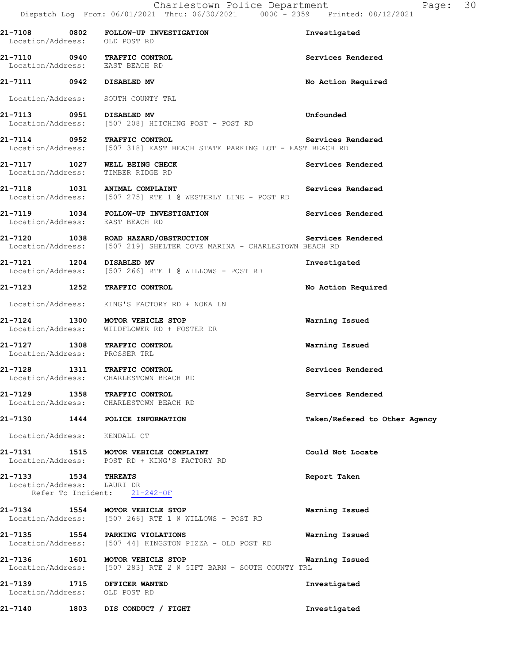| Location/Address: OLD POST RD                                | 21-7108 0802 FOLLOW-UP INVESTIGATION                                                                                             | Investigated                  |
|--------------------------------------------------------------|----------------------------------------------------------------------------------------------------------------------------------|-------------------------------|
|                                                              | 21-7110 0940 TRAFFIC CONTROL<br>Location/Address: EAST BEACH RD                                                                  | Services Rendered             |
| 21-7111 0942 DISABLED MV                                     |                                                                                                                                  | No Action Required            |
|                                                              | Location/Address: SOUTH COUNTY TRL                                                                                               |                               |
| 21-7113 0951 DISABLED MV                                     | Location/Address: [507 208] HITCHING POST - POST RD                                                                              | Unfounded                     |
|                                                              | 21-7114 0952 TRAFFIC CONTROL Services R<br>Location/Address: [507 318] EAST BEACH STATE PARKING LOT - EAST BEACH RD              | Services Rendered             |
|                                                              | 21-7117 1027 WELL BEING CHECK<br>Location/Address: TIMBER RIDGE RD                                                               | Services Rendered             |
|                                                              | 21-7118 1031 ANIMAL COMPLAINT<br>Location/Address: [507 275] RTE 1 @ WESTERLY LINE - POST RD                                     | Services Rendered             |
| Location/Address: EAST BEACH RD                              | 21-7119 1034 FOLLOW-UP INVESTIGATION                                                                                             | Services Rendered             |
|                                                              | 21-7120 1038 ROAD HAZARD/OBSTRUCTION Services Rendered<br>Location/Address: [507 219] SHELTER COVE MARINA - CHARLESTOWN BEACH RD |                               |
| 21-7121 1204 DISABLED MV                                     | Location/Address: [507 266] RTE 1 @ WILLOWS - POST RD                                                                            | Investigated                  |
|                                                              | 21-7123 1252 TRAFFIC CONTROL                                                                                                     | No Action Required            |
|                                                              | Location/Address: KING'S FACTORY RD + NOKA LN                                                                                    |                               |
|                                                              | 21-7124 1300 MOTOR VEHICLE STOP<br>Location/Address: WILDFLOWER RD + FOSTER DR                                                   | Warning Issued                |
|                                                              | 21-7127 1308 TRAFFIC CONTROL<br>Location/Address: PROSSER TRL                                                                    | Warning Issued                |
|                                                              | 21-7128 1311 TRAFFIC CONTROL<br>Location/Address: CHARLESTOWN BEACH RD                                                           | Services Rendered             |
|                                                              | 21-7129 1358 TRAFFIC CONTROL<br>Location/Address: CHARLESTOWN BEACH RD                                                           | Services Rendered             |
|                                                              | 21-7130 1444 POLICE INFORMATION                                                                                                  | Taken/Refered to Other Agency |
| Location/Address: KENDALL CT                                 |                                                                                                                                  |                               |
|                                                              | 21-7131 1515 MOTOR VEHICLE COMPLAINT<br>Location/Address: POST RD + KING'S FACTORY RD                                            | Could Not Locate              |
| 21-7133 1534 THREATS<br>Location/Address: LAURI DR           | Refer To Incident: 21-242-OF                                                                                                     | Report Taken                  |
|                                                              | 21-7134 1554 MOTOR VEHICLE STOP<br>Location/Address: [507 266] RTE 1 @ WILLOWS - POST RD                                         | Warning Issued                |
|                                                              | 21-7135 1554 PARKING VIOLATIONS<br>Location/Address: [507 44] KINGSTON PIZZA - OLD POST RD                                       | Warning Issued                |
| 21-7136 1601                                                 | MOTOR VEHICLE STOP<br>Location/Address: [507 283] RTE 2 @ GIFT BARN - SOUTH COUNTY TRL                                           | Warning Issued                |
| 21-7139 1715 OFFICER WANTED<br>Location/Address: OLD POST RD |                                                                                                                                  | Investigated                  |
| 21-7140                                                      | 1803 DIS CONDUCT / FIGHT                                                                                                         | Investigated                  |